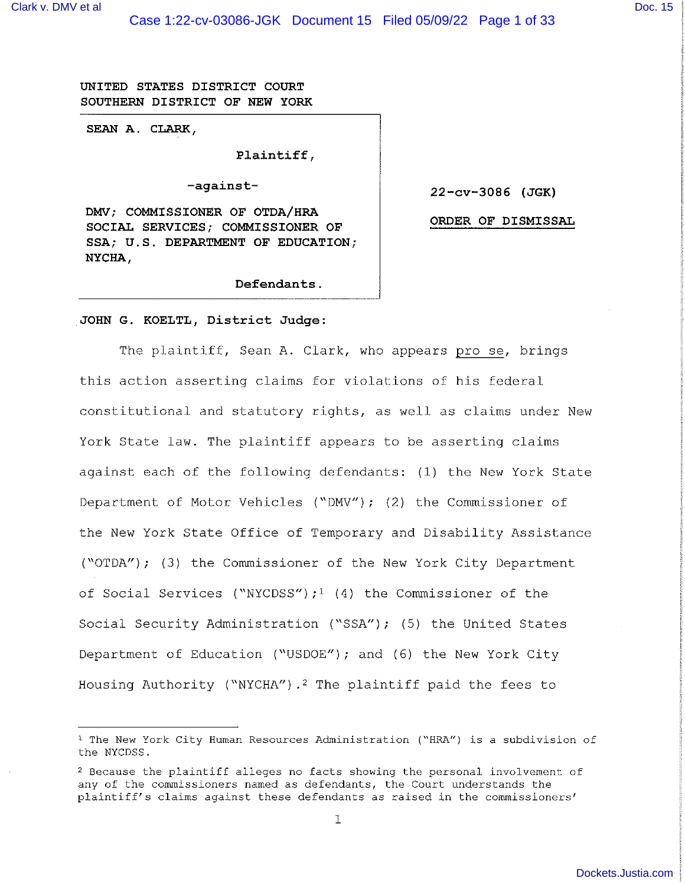UNITED STATES DISTRICT COURT SOUTHERN DISTRICT OF NEW YORK

SEAN A. CLARK,

Plaintiff,

-against-

DMV; COMMISSIONER OF OTDA/HRA SOCIAL SERVICES; COMMISSIONER OF SSA; U.S. DEPARTMENT OF EDUCATION; NYCHA,

22-cv-3086 (JGK)

ORDER OF DISMISSAL

Defendants.

## JOHN G. KOELTL, District Judge:

The plaintiff, Sean A. Clark, who appears pro se, brings this action asserting claims for violations of his federal constitutional and statutory rights, as well as claims under New York State law. The plaintiff appears to be asserting claims against each of the following defendants: (1) the New York State Department of Motor Vehicles ("DMV"); (2) the Commissioner of the New York State Office of Temporary and Disability Assistance ("OTDA"); (3) the Commissioner of the New York City Department of Social Services ("NYCDSS");<sup>1</sup> (4) the Commissioner of the Social Security Administration ("SSA"); (5) the United States Department of Education ("USDOE"); and (6) the New York City Housing Authority ("NYCHA").<sup>2</sup> The plaintiff paid the fees to

<sup>&</sup>lt;sup>1</sup> The New York City Human Resources Administration ("HRA") is a subdivision of the NYCDSS.

<sup>&</sup>lt;sup>2</sup> Because the plaintiff alleges no facts showing the personal involvement of any of the commissioners named as defendants, the Court understands the plaintiff's claims against these defendants as raised in the commissioners'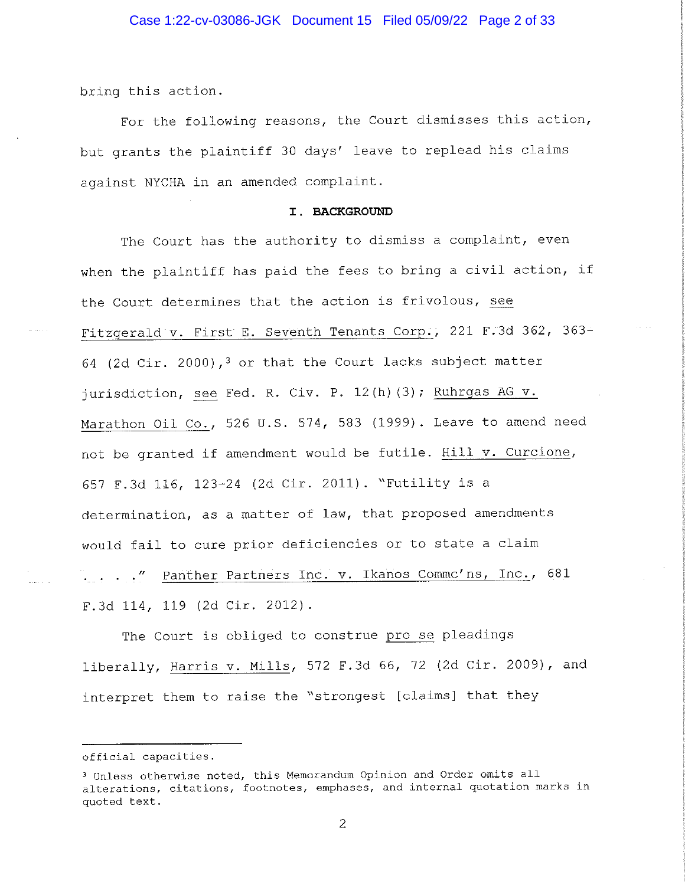bring this action.

For the following reasons, the Court dismisses this action, but grants the plaintiff 30 days' leave to replead his claims against NYCHA in an amended complaint.

### I. BACKGROUND

The Court has the authority to dismiss a complaint, even when the plaintiff has paid the fees to bring a civil action, if the Court determines that the action is frivolous, see Fitzgerald v. First E. Seventh Tenants Corp., 221 F.3d 362, 363-64 (2d Cir. 2000),<sup>3</sup> or that the Court lacks subject matter jurisdiction, see Fed. R. Civ. P. 12(h)(3); Ruhrgas AG v. Marathon Oil Co., 526 U.S. 574, 583 (1999). Leave to amend need not be granted if amendment would be futile. Hill v. Curcione, 657 F.3d 116, 123-24 (2d Cir. 2011). "Futility is a determination, as a matter of law, that proposed amendments would fail to cure prior deficiencies or to state a claim . . . " Panther Partners Inc. v. Ikanos Commc'ns, Inc., 681 F.3d 114, 119 (2d Cir. 2012).

The Court is obliged to construe pro se pleadings liberally, Harris v. Mills, 572 F.3d 66, 72 (2d Cir. 2009), and interpret them to raise the "strongest [claims] that they

 $\overline{2}$ 

official capacities.

<sup>&</sup>lt;sup>3</sup> Unless otherwise noted, this Memorandum Opinion and Order omits all alterations, citations, footnotes, emphases, and internal quotation marks in quoted text.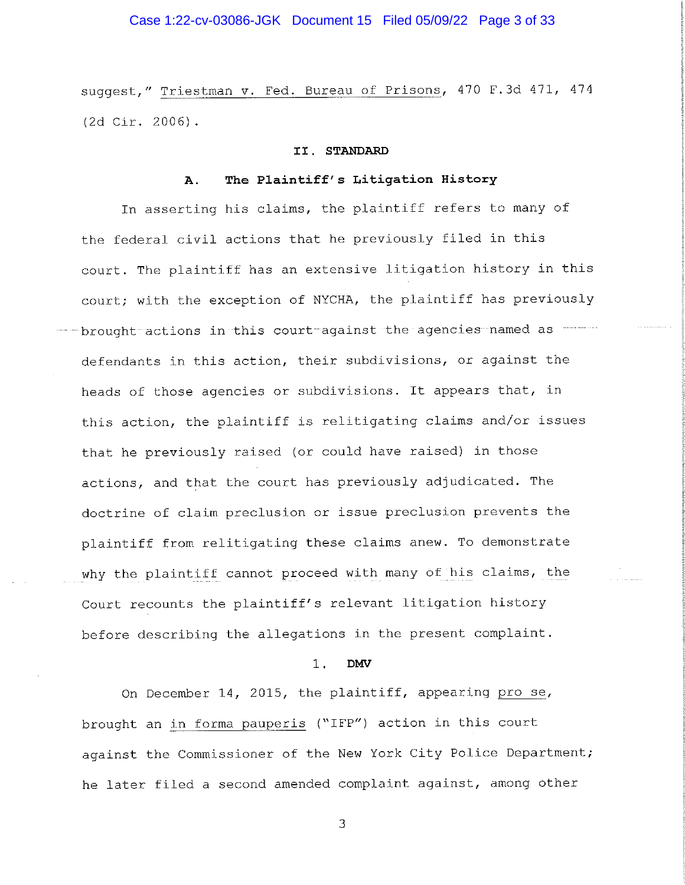# Case 1:22-cv-03086-JGK Document 15 Filed 05/09/22 Page 3 of 33

suggest," Triestman v. Fed. Bureau of Prisons, 470 F.3d 471, 474 (2d Cir. 2006).

### II. STANDARD

#### The Plaintiff's Litigation History  $\mathbf{A}$ .

In asserting his claims, the plaintiff refers to many of the federal civil actions that he previously filed in this court. The plaintiff has an extensive litigation history in this court; with the exception of NYCHA, the plaintiff has previously brought actions in this court against the agencies named as defendants in this action, their subdivisions, or against the heads of those agencies or subdivisions. It appears that, in this action, the plaintiff is relitigating claims and/or issues that he previously raised (or could have raised) in those actions, and that the court has previously adjudicated. The doctrine of claim preclusion or issue preclusion prevents the plaintiff from relitigating these claims anew. To demonstrate why the plaintiff cannot proceed with many of his claims, the Court recounts the plaintiff's relevant litigation history before describing the allegations in the present complaint.

#### $1$ . **DMV**

On December 14, 2015, the plaintiff, appearing pro se, brought an in forma pauperis ("IFP") action in this court against the Commissioner of the New York City Police Department; he later filed a second amended complaint against, among other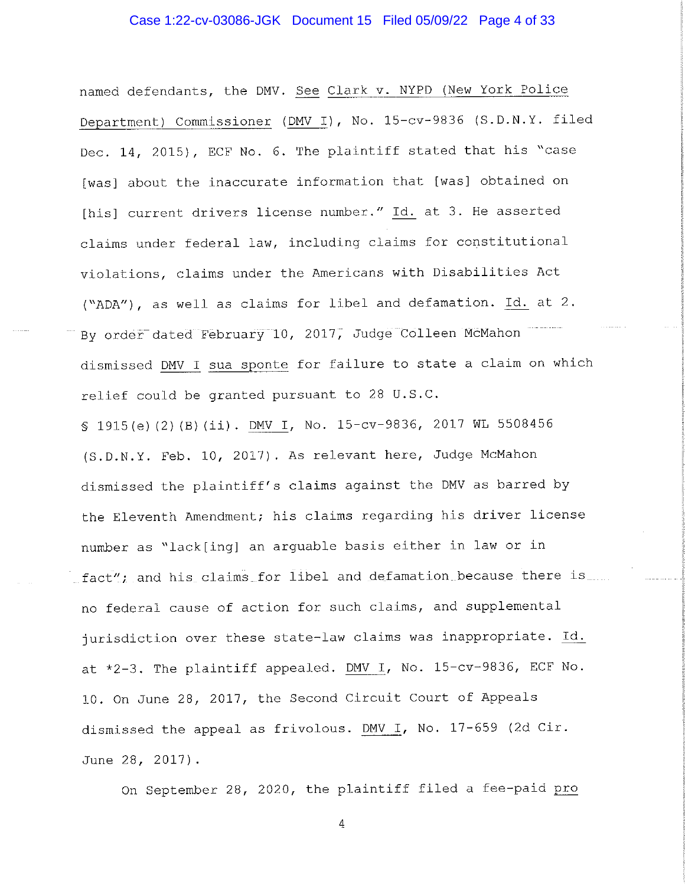# Case 1:22-cv-03086-JGK Document 15 Filed 05/09/22 Page 4 of 33

named defendants, the DMV. See Clark v. NYPD (New York Police Department) Commissioner (DMV I), No. 15-cv-9836 (S.D.N.Y. filed Dec. 14, 2015), ECF No. 6. The plaintiff stated that his "case [was] about the inaccurate information that [was] obtained on [his] current drivers license number." Id. at 3. He asserted claims under federal law, including claims for constitutional violations, claims under the Americans with Disabilities Act ("ADA"), as well as claims for libel and defamation. Id. at 2. By order dated February 10, 2017, Judge Colleen McMahon dismissed DMV I sua sponte for failure to state a claim on which relief could be granted pursuant to 28 U.S.C.

\$ 1915(e)(2)(B)(ii). DMV I, No. 15-cv-9836, 2017 WL 5508456 (S.D.N.Y. Feb. 10, 2017). As relevant here, Judge McMahon dismissed the plaintiff's claims against the DMV as barred by the Eleventh Amendment; his claims regarding his driver license number as "lack[ing] an arguable basis either in law or in fact"; and his claims for libel and defamation because there is no federal cause of action for such claims, and supplemental jurisdiction over these state-law claims was inappropriate. Id. at \*2-3. The plaintiff appealed. DMV I, No. 15-cv-9836, ECF No. 10. On June 28, 2017, the Second Circuit Court of Appeals dismissed the appeal as frivolous. DMV I, No. 17-659 (2d Cir. June 28, 2017).

On September 28, 2020, the plaintiff filed a fee-paid pro

 $\sqrt{4}$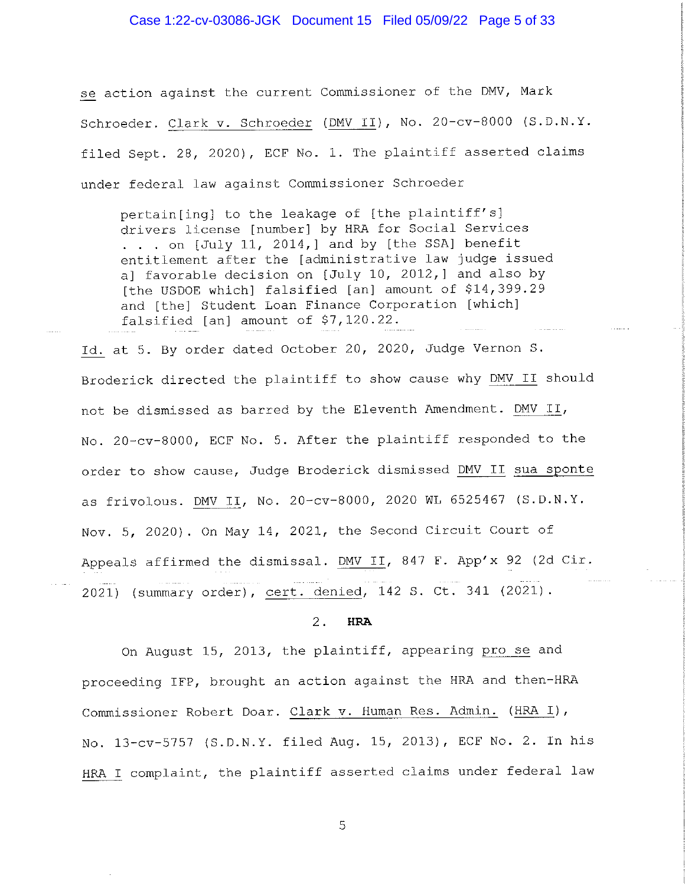## Case 1:22-cv-03086-JGK Document 15 Filed 05/09/22 Page 5 of 33

se action against the current Commissioner of the DMV, Mark Schroeder. Clark v. Schroeder (DMV II), No. 20-cv-8000 (S.D.N.Y. filed Sept. 28, 2020), ECF No. 1. The plaintiff asserted claims under federal law against Commissioner Schroeder

pertain[ing] to the leakage of [the plaintiff's] drivers license [number] by HRA for Social Services . . . on [July 11, 2014,] and by [the SSA] benefit entitlement after the [administrative law judge issued a] favorable decision on [July 10, 2012,] and also by [the USDOE which] falsified [an] amount of \$14,399.29 and [the] Student Loan Finance Corporation [which] falsified [an] amount of \$7,120.22.

Id. at 5. By order dated October 20, 2020, Judge Vernon S. Broderick directed the plaintiff to show cause why DMV II should not be dismissed as barred by the Eleventh Amendment. DMV II, No. 20-cv-8000, ECF No. 5. After the plaintiff responded to the order to show cause, Judge Broderick dismissed DMV II sua sponte as frivolous. DMV II, No. 20-cv-8000, 2020 WL 6525467 (S.D.N.Y. Nov. 5, 2020). On May 14, 2021, the Second Circuit Court of Appeals affirmed the dismissal. DMV II, 847 F. App'x 92 (2d Cir. 2021) (summary order), cert. denied, 142 S. Ct. 341 (2021).

#### $2.$ **HRA**

On August 15, 2013, the plaintiff, appearing pro se and proceeding IFP, brought an action against the HRA and then-HRA Commissioner Robert Doar. Clark v. Human Res. Admin. (HRA I), No. 13-cv-5757 (S.D.N.Y. filed Aug. 15, 2013), ECF No. 2. In his HRA I complaint, the plaintiff asserted claims under federal law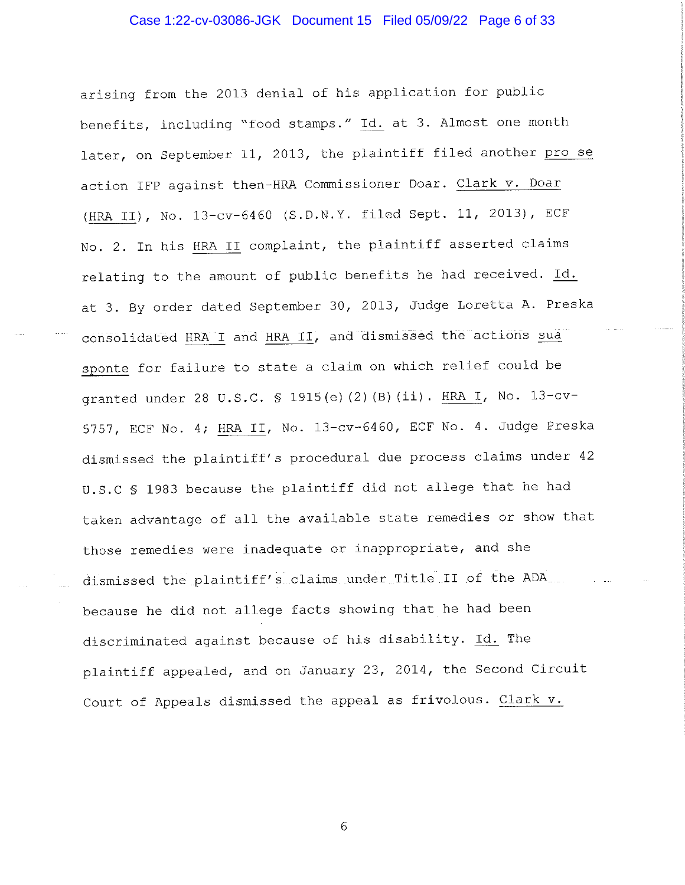# Case 1:22-cv-03086-JGK Document 15 Filed 05/09/22 Page 6 of 33

arising from the 2013 denial of his application for public benefits, including "food stamps." Id. at 3. Almost one month later, on September 11, 2013, the plaintiff filed another pro se action IFP against then-HRA Commissioner Doar. Clark v. Doar (HRA II), No. 13-cv-6460 (S.D.N.Y. filed Sept. 11, 2013), ECF No. 2. In his HRA II complaint, the plaintiff asserted claims relating to the amount of public benefits he had received. Id. at 3. By order dated September 30, 2013, Judge Loretta A. Preska consolidated HRA I and HRA II, and dismissed the actions sua sponte for failure to state a claim on which relief could be granted under 28 U.S.C. § 1915(e)(2)(B)(ii). HRA I, No. 13-cv-5757, ECF No. 4; HRA II, No. 13-cv-6460, ECF No. 4. Judge Preska dismissed the plaintiff's procedural due process claims under 42 U.S.C § 1983 because the plaintiff did not allege that he had taken advantage of all the available state remedies or show that those remedies were inadequate or inappropriate, and she dismissed the plaintiff's claims under Title II of the ADA... because he did not allege facts showing that he had been discriminated against because of his disability. Id. The plaintiff appealed, and on January 23, 2014, the Second Circuit Court of Appeals dismissed the appeal as frivolous. Clark v.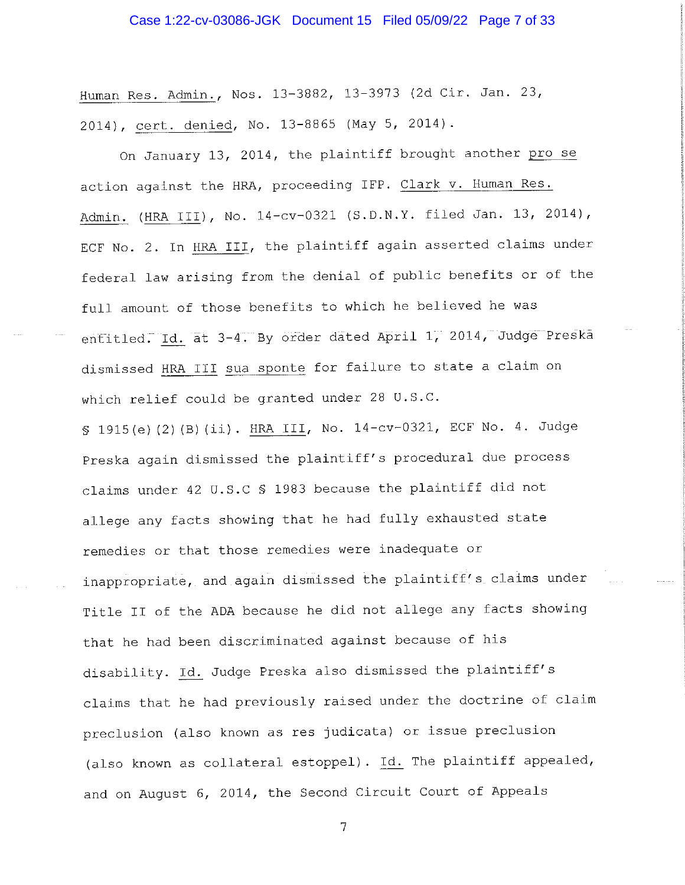# Case 1:22-cv-03086-JGK Document 15 Filed 05/09/22 Page 7 of 33

Human Res. Admin., Nos. 13-3882, 13-3973 (2d Cir. Jan. 23, 2014), cert. denied, No. 13-8865 (May 5, 2014).

On January 13, 2014, the plaintiff brought another pro se action against the HRA, proceeding IFP. Clark v. Human Res. Admin. (HRA III), No. 14-cv-0321 (S.D.N.Y. filed Jan. 13, 2014), ECF No. 2. In HRA III, the plaintiff again asserted claims under federal law arising from the denial of public benefits or of the full amount of those benefits to which he believed he was entitled. Id. at 3-4. By order dated April 1, 2014, Judge Preska dismissed HRA III sua sponte for failure to state a claim on which relief could be granted under 28 U.S.C.

§ 1915(e)(2)(B)(ii). HRA III, No. 14-cv-0321, ECF No. 4. Judge Preska again dismissed the plaintiff's procedural due process claims under 42 U.S.C \$ 1983 because the plaintiff did not allege any facts showing that he had fully exhausted state remedies or that those remedies were inadequate or inappropriate, and again dismissed the plaintiff's claims under Title II of the ADA because he did not allege any facts showing that he had been discriminated against because of his disability. Id. Judge Preska also dismissed the plaintiff's claims that he had previously raised under the doctrine of claim preclusion (also known as res judicata) or issue preclusion (also known as collateral estoppel). Id. The plaintiff appealed, and on August 6, 2014, the Second Circuit Court of Appeals

 $\overline{7}$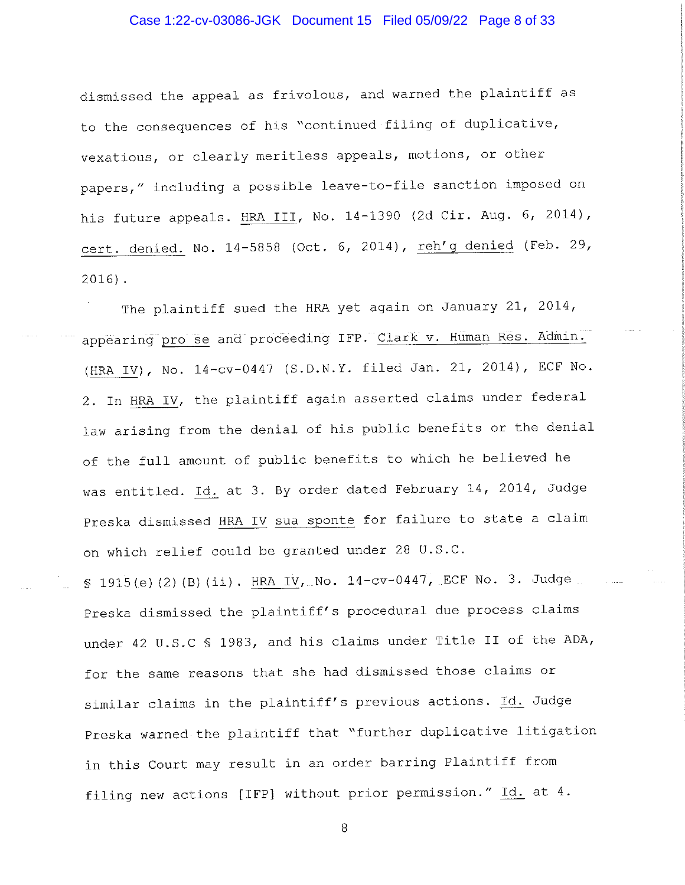# Case 1:22-cv-03086-JGK Document 15 Filed 05/09/22 Page 8 of 33

dismissed the appeal as frivolous, and warned the plaintiff as to the consequences of his "continued filing of duplicative, vexatious, or clearly meritless appeals, motions, or other papers," including a possible leave-to-file sanction imposed on his future appeals. HRA III, No. 14-1390 (2d Cir. Aug. 6, 2014), cert. denied. No. 14-5858 (Oct. 6, 2014), reh'g denied (Feb. 29,  $2016$ ).

The plaintiff sued the HRA yet again on January 21, 2014, appearing pro se and proceeding IFP. Clark v. Human Res. Admin. (HRA IV), No. 14-cv-0447 (S.D.N.Y. filed Jan. 21, 2014), ECF No. 2. In HRA IV, the plaintiff again asserted claims under federal law arising from the denial of his public benefits or the denial of the full amount of public benefits to which he believed he was entitled. Id. at 3. By order dated February 14, 2014, Judge Preska dismissed HRA IV sua sponte for failure to state a claim on which relief could be granted under 28 U.S.C.

\$ 1915(e)(2)(B)(ii). HRA IV, No. 14-cv-0447, ECF No. 3. Judge Preska dismissed the plaintiff's procedural due process claims under 42 U.S.C § 1983, and his claims under Title II of the ADA, for the same reasons that she had dismissed those claims or similar claims in the plaintiff's previous actions. Id. Judge Preska warned the plaintiff that "further duplicative litigation in this Court may result in an order barring Plaintiff from filing new actions [IFP] without prior permission." Id. at 4.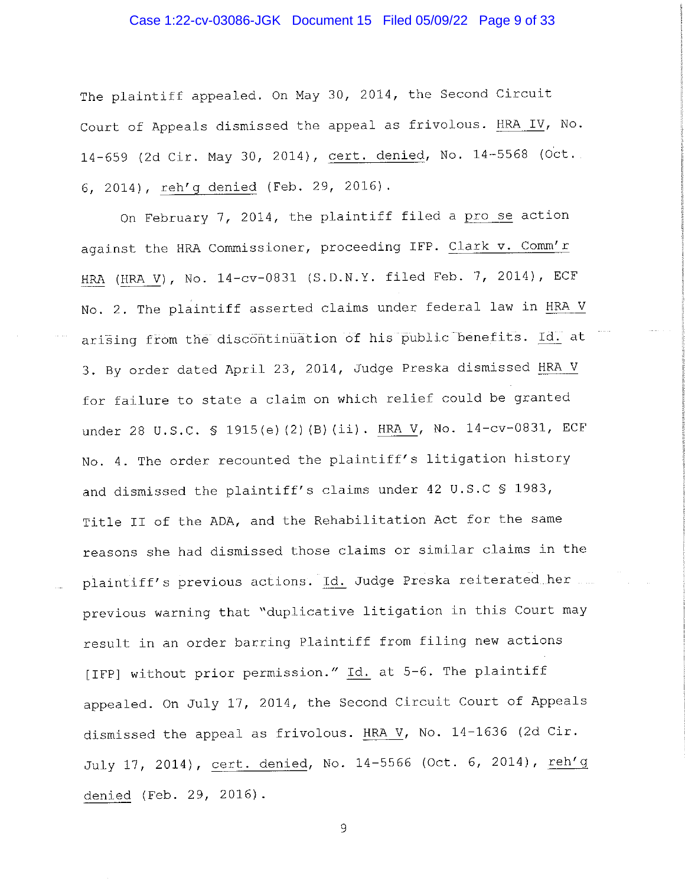## Case 1:22-cv-03086-JGK Document 15 Filed 05/09/22 Page 9 of 33

The plaintiff appealed. On May 30, 2014, the Second Circuit Court of Appeals dismissed the appeal as frivolous. HRA IV, No. 14-659 (2d Cir. May 30, 2014), cert. denied, No. 14-5568 (Oct. 6, 2014), reh'g denied (Feb. 29, 2016).

On February 7, 2014, the plaintiff filed a pro se action against the HRA Commissioner, proceeding IFP. Clark v. Comm'r HRA (HRA V), No. 14-cv-0831 (S.D.N.Y. filed Feb. 7, 2014), ECF No. 2. The plaintiff asserted claims under federal law in HRA V arising from the discontinuation of his public benefits. Id. at 3. By order dated April 23, 2014, Judge Preska dismissed HRA V for failure to state a claim on which relief could be granted under 28 U.S.C. § 1915(e)(2)(B)(ii). HRA V, No. 14-cv-0831, ECF No. 4. The order recounted the plaintiff's litigation history and dismissed the plaintiff's claims under 42 U.S.C \$ 1983, Title II of the ADA, and the Rehabilitation Act for the same reasons she had dismissed those claims or similar claims in the plaintiff's previous actions. Id. Judge Preska reiterated her previous warning that "duplicative litigation in this Court may result in an order barring Plaintiff from filing new actions [IFP] without prior permission." Id. at 5-6. The plaintiff appealed. On July 17, 2014, the Second Circuit Court of Appeals dismissed the appeal as frivolous. HRA V, No. 14-1636 (2d Cir. July 17, 2014), cert. denied, No. 14-5566 (Oct. 6, 2014), reh'g denied (Feb. 29, 2016).

 $\mathbf 9$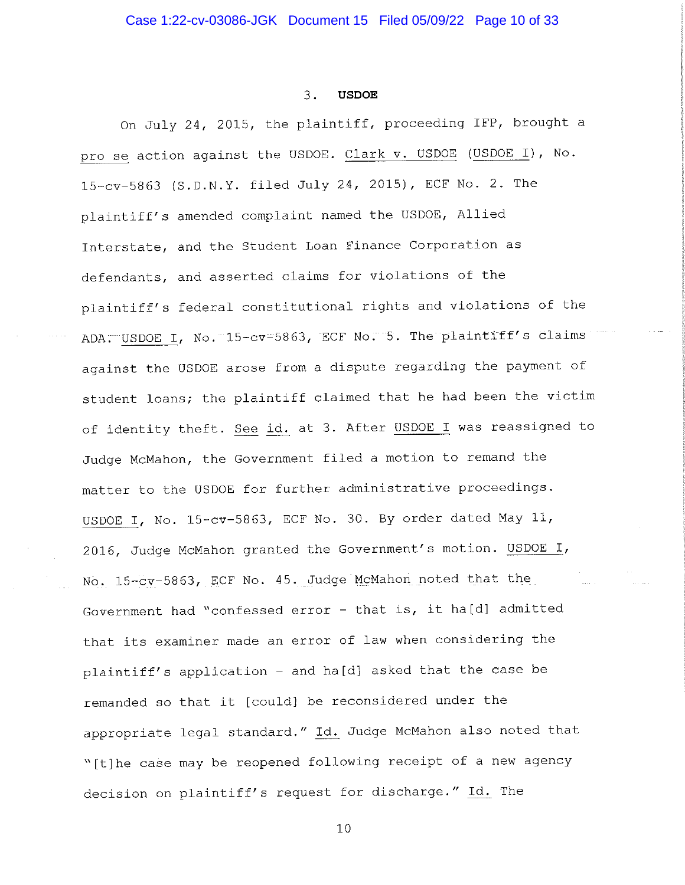#### $\overline{3}$ . **USDOE**

On July 24, 2015, the plaintiff, proceeding IFP, brought a pro se action against the USDOE. Clark v. USDOE (USDOE I), No. 15-cv-5863 (S.D.N.Y. filed July 24, 2015), ECF No. 2. The plaintiff's amended complaint named the USDOE, Allied Interstate, and the Student Loan Finance Corporation as defendants, and asserted claims for violations of the plaintiff's federal constitutional rights and violations of the ADA. USDOE I, No. 15-cv=5863, ECF No. 5. The plaintiff's claims against the USDOE arose from a dispute regarding the payment of student loans; the plaintiff claimed that he had been the victim of identity theft. See id. at 3. After USDOE I was reassigned to Judge McMahon, the Government filed a motion to remand the matter to the USDOE for further administrative proceedings. USDOE I, No. 15-cv-5863, ECF No. 30. By order dated May 11, 2016, Judge McMahon granted the Government's motion. USDOE I, No. 15-cv-5863, ECF No. 45. Judge McMahon noted that the Government had "confessed error - that is, it ha[d] admitted that its examiner made an error of law when considering the plaintiff's application - and ha[d] asked that the case be remanded so that it [could] be reconsidered under the appropriate legal standard." Id. Judge McMahon also noted that "[t]he case may be reopened following receipt of a new agency decision on plaintiff's request for discharge." Id. The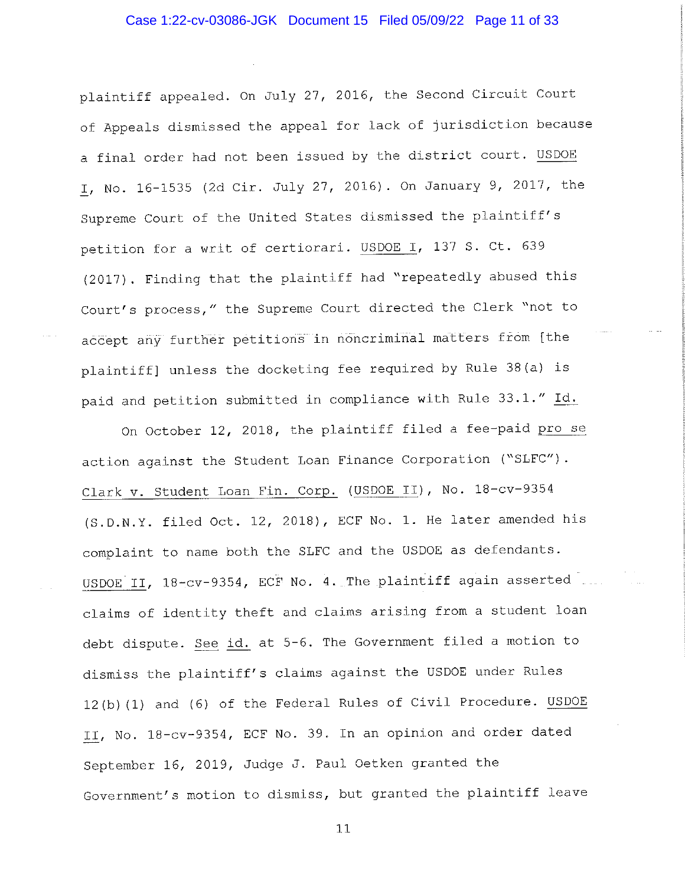plaintiff appealed. On July 27, 2016, the Second Circuit Court of Appeals dismissed the appeal for lack of jurisdiction because a final order had not been issued by the district court. USDOE I, No. 16-1535 (2d Cir. July 27, 2016). On January 9, 2017, the Supreme Court of the United States dismissed the plaintiff's petition for a writ of certiorari. USDOE I, 137 S. Ct. 639 (2017). Finding that the plaintiff had "repeatedly abused this Court's process," the Supreme Court directed the Clerk "not to accept any further petitions in noncriminal matters from [the plaintiff] unless the docketing fee required by Rule 38(a) is paid and petition submitted in compliance with Rule 33.1." Id.

On October 12, 2018, the plaintiff filed a fee-paid pro se action against the Student Loan Finance Corporation ("SLFC"). Clark v. Student Loan Fin. Corp. (USDOE II), No. 18-cv-9354 (S.D.N.Y. filed Oct. 12, 2018), ECF No. 1. He later amended his complaint to name both the SLFC and the USDOE as defendants. USDOE II, 18-cv-9354, ECF No. 4. The plaintiff again asserted claims of identity theft and claims arising from a student loan debt dispute. See id. at 5-6. The Government filed a motion to dismiss the plaintiff's claims against the USDOE under Rules 12(b)(1) and (6) of the Federal Rules of Civil Procedure. USDOE II, No. 18-cv-9354, ECF No. 39. In an opinion and order dated September 16, 2019, Judge J. Paul Oetken granted the Government's motion to dismiss, but granted the plaintiff leave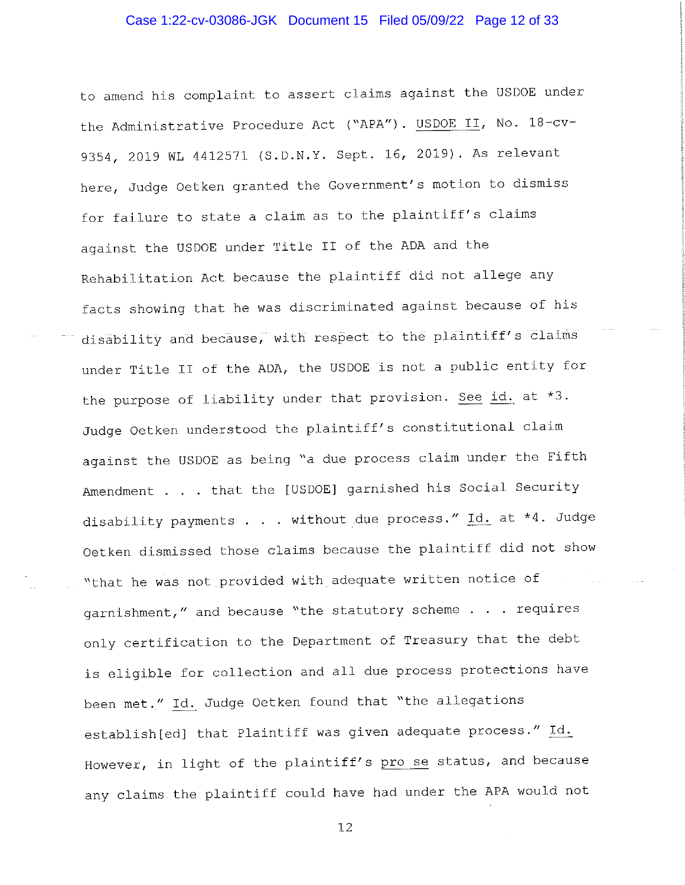### Case 1:22-cv-03086-JGK Document 15 Filed 05/09/22 Page 12 of 33

to amend his complaint to assert claims against the USDOE under the Administrative Procedure Act ("APA"). USDOE II, No. 18-cv-9354, 2019 WL 4412571 (S.D.N.Y. Sept. 16, 2019). As relevant here, Judge Oetken granted the Government's motion to dismiss for failure to state a claim as to the plaintiff's claims against the USDOE under Title II of the ADA and the Rehabilitation Act because the plaintiff did not allege any facts showing that he was discriminated against because of his disability and because, with respect to the plaintiff's claims under Title II of the ADA, the USDOE is not a public entity for the purpose of liability under that provision. See id. at \*3. Judge Oetken understood the plaintiff's constitutional claim against the USDOE as being "a due process claim under the Fifth Amendment . . . that the [USDOE] garnished his Social Security disability payments . . . without due process." Id. at \*4. Judge Oetken dismissed those claims because the plaintiff did not show "that he was not provided with adequate written notice of garnishment," and because "the statutory scheme . . . requires only certification to the Department of Treasury that the debt is eligible for collection and all due process protections have been met." Id. Judge Oetken found that "the allegations establish [ed] that Plaintiff was given adequate process." Id. However, in light of the plaintiff's pro se status, and because any claims the plaintiff could have had under the APA would not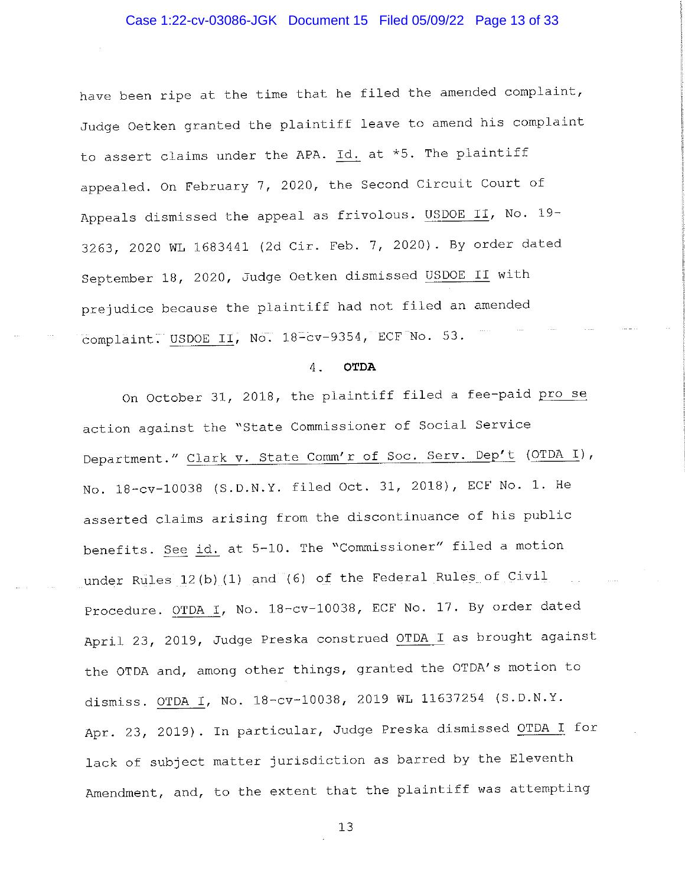## Case 1:22-cv-03086-JGK Document 15 Filed 05/09/22 Page 13 of 33

have been ripe at the time that he filed the amended complaint, Judge Oetken granted the plaintiff leave to amend his complaint to assert claims under the APA. Id. at \*5. The plaintiff appealed. On February 7, 2020, the Second Circuit Court of Appeals dismissed the appeal as frivolous. USDOE II, No. 19-3263, 2020 WL 1683441 (2d Cir. Feb. 7, 2020). By order dated September 18, 2020, Judge Oetken dismissed USDOE II with prejudice because the plaintiff had not filed an amended complaint. USDOE II, No. 18-cv-9354, ECF No. 53.

#### **OTDA**  $4$ .

On October 31, 2018, the plaintiff filed a fee-paid pro se action against the "State Commissioner of Social Service Department." Clark v. State Comm'r of Soc. Serv. Dep't (OTDA I), No. 18-cv-10038 (S.D.N.Y. filed Oct. 31, 2018), ECF No. 1. He asserted claims arising from the discontinuance of his public benefits. See id. at 5-10. The "Commissioner" filed a motion under Rules 12(b) (1) and (6) of the Federal Rules of Civil Procedure. OTDA I, No. 18-cv-10038, ECF No. 17. By order dated April 23, 2019, Judge Preska construed OTDA I as brought against the OTDA and, among other things, granted the OTDA's motion to dismiss. OTDA I, No. 18-cv-10038, 2019 WL 11637254 (S.D.N.Y. Apr. 23, 2019). In particular, Judge Preska dismissed OTDA I for lack of subject matter jurisdiction as barred by the Eleventh Amendment, and, to the extent that the plaintiff was attempting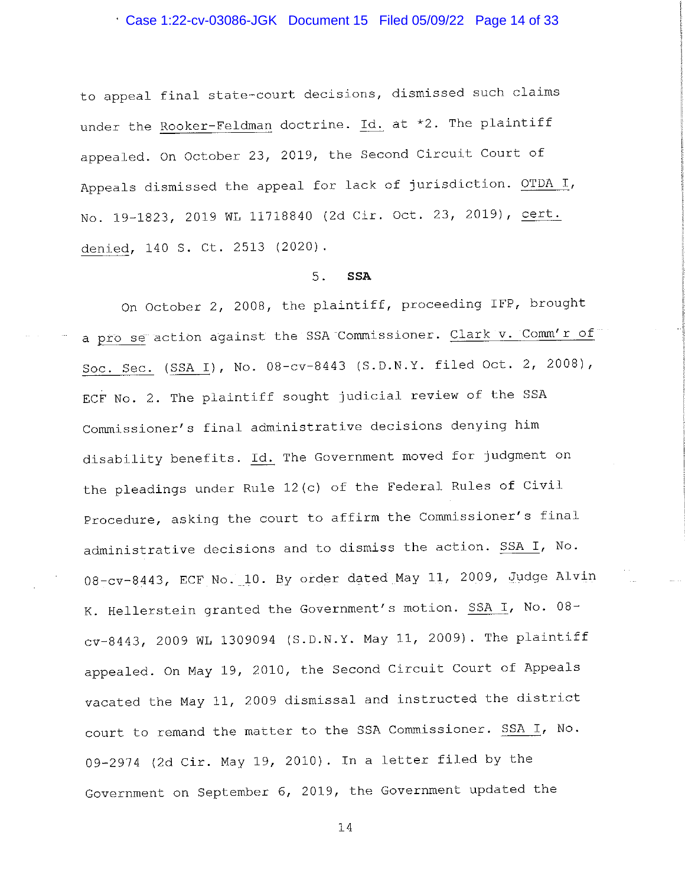Case 1:22-cv-03086-JGK Document 15 Filed 05/09/22 Page 14 of 33

to appeal final state-court decisions, dismissed such claims under the Rooker-Feldman doctrine. Id. at \*2. The plaintiff appealed. On October 23, 2019, the Second Circuit Court of Appeals dismissed the appeal for lack of jurisdiction. OTDA I, No. 19-1823, 2019 WL 11718840 (2d Cir. Oct. 23, 2019), cert. denied, 140 S. Ct. 2513 (2020).

#### $5.$ **SSA**

On October 2, 2008, the plaintiff, proceeding IFP, brought a pro se action against the SSA Commissioner. Clark v. Comm'r of Soc. Sec. (SSA I), No. 08-cv-8443 (S.D.N.Y. filed Oct. 2, 2008), ECF No. 2. The plaintiff sought judicial review of the SSA Commissioner's final administrative decisions denying him disability benefits. Id. The Government moved for judgment on the pleadings under Rule 12(c) of the Federal Rules of Civil Procedure, asking the court to affirm the Commissioner's final administrative decisions and to dismiss the action. SSA I, No. 08-cv-8443, ECF No. 10. By order dated May 11, 2009, Judge Alvin K. Hellerstein granted the Government's motion. SSA I, No. 08cv-8443, 2009 WL 1309094 (S.D.N.Y. May 11, 2009). The plaintiff appealed. On May 19, 2010, the Second Circuit Court of Appeals vacated the May 11, 2009 dismissal and instructed the district court to remand the matter to the SSA Commissioner. SSA I, No. 09-2974 (2d Cir. May 19, 2010). In a letter filed by the Government on September 6, 2019, the Government updated the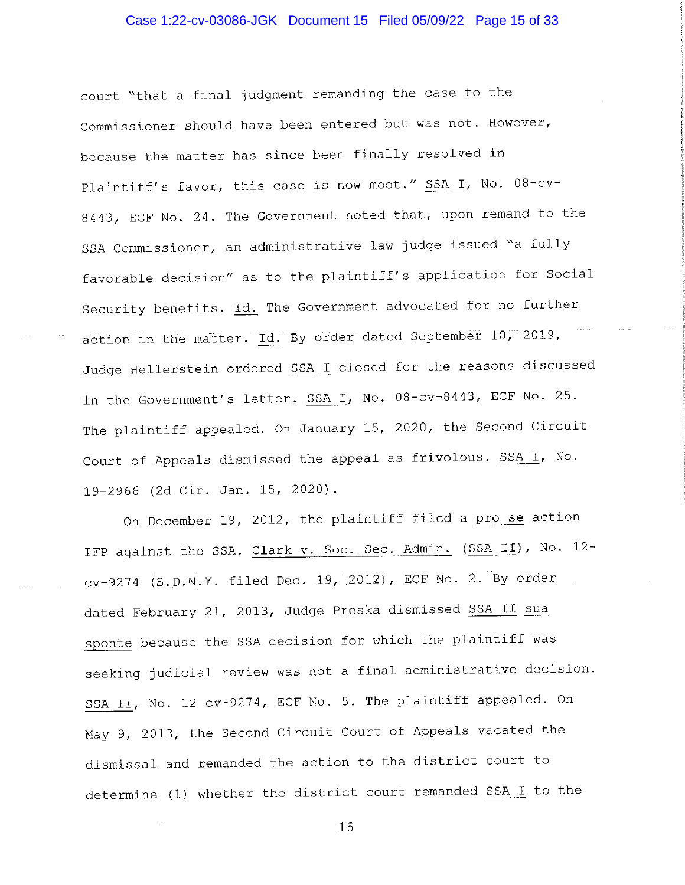## Case 1:22-cv-03086-JGK Document 15 Filed 05/09/22 Page 15 of 33

court "that a final judgment remanding the case to the Commissioner should have been entered but was not. However, because the matter has since been finally resolved in Plaintiff's favor, this case is now moot." SSA I, No. 08-cv-8443, ECF No. 24. The Government noted that, upon remand to the SSA Commissioner, an administrative law judge issued "a fully favorable decision" as to the plaintiff's application for Social Security benefits. Id. The Government advocated for no further action in the matter. Id. By order dated September 10, 2019, Judge Hellerstein ordered SSA I closed for the reasons discussed in the Government's letter. SSA I, No. 08-cv-8443, ECF No. 25. The plaintiff appealed. On January 15, 2020, the Second Circuit Court of Appeals dismissed the appeal as frivolous. SSA I, No. 19-2966 (2d Cir. Jan. 15, 2020).

On December 19, 2012, the plaintiff filed a pro se action IFP against the SSA. Clark v. Soc. Sec. Admin. (SSA II), No. 12cy-9274 (S.D.N.Y. filed Dec. 19, 2012), ECF No. 2. By order dated February 21, 2013, Judge Preska dismissed SSA II sua sponte because the SSA decision for which the plaintiff was seeking judicial review was not a final administrative decision. SSA II, No. 12-cv-9274, ECF No. 5. The plaintiff appealed. On May 9, 2013, the Second Circuit Court of Appeals vacated the dismissal and remanded the action to the district court to determine (1) whether the district court remanded SSA I to the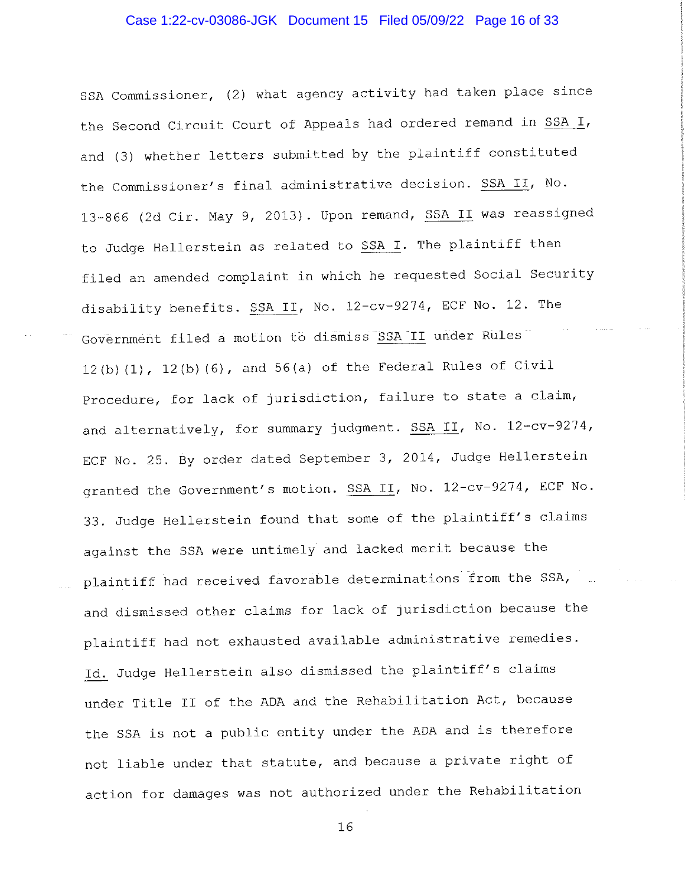## Case 1:22-cv-03086-JGK Document 15 Filed 05/09/22 Page 16 of 33

SSA Commissioner, (2) what agency activity had taken place since the Second Circuit Court of Appeals had ordered remand in SSA I, and (3) whether letters submitted by the plaintiff constituted the Commissioner's final administrative decision. SSA II, No. 13-866 (2d Cir. May 9, 2013). Upon remand, SSA II was reassigned to Judge Hellerstein as related to SSA I. The plaintiff then filed an amended complaint in which he requested Social Security disability benefits. SSA II, No. 12-cv-9274, ECF No. 12. The Government filed a motion to dismiss SSA II under Rules 12(b)  $(1)$ , 12(b)  $(6)$ , and 56(a) of the Federal Rules of Civil Procedure, for lack of jurisdiction, failure to state a claim, and alternatively, for summary judgment. SSA II, No. 12-cv-9274, ECF No. 25. By order dated September 3, 2014, Judge Hellerstein granted the Government's motion. SSA II, No. 12-cv-9274, ECF No. 33. Judge Hellerstein found that some of the plaintiff's claims against the SSA were untimely and lacked merit because the plaintiff had received favorable determinations from the SSA, and dismissed other claims for lack of jurisdiction because the plaintiff had not exhausted available administrative remedies. Id. Judge Hellerstein also dismissed the plaintiff's claims under Title II of the ADA and the Rehabilitation Act, because the SSA is not a public entity under the ADA and is therefore not liable under that statute, and because a private right of action for damages was not authorized under the Rehabilitation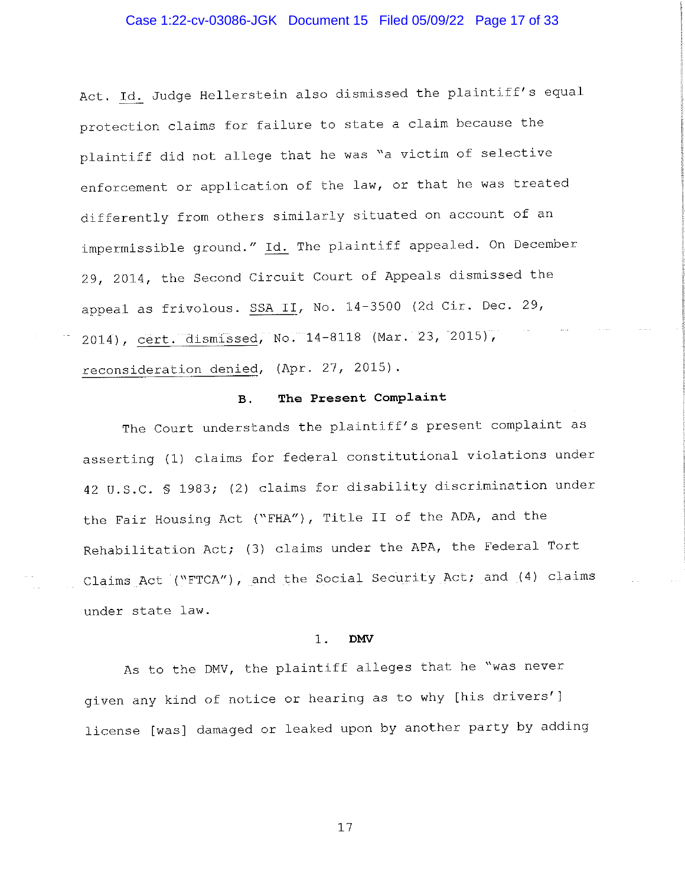### Case 1:22-cv-03086-JGK Document 15 Filed 05/09/22 Page 17 of 33

Act. Id. Judge Hellerstein also dismissed the plaintiff's equal protection claims for failure to state a claim because the plaintiff did not allege that he was "a victim of selective enforcement or application of the law, or that he was treated differently from others similarly situated on account of an impermissible ground." Id. The plaintiff appealed. On December 29, 2014, the Second Circuit Court of Appeals dismissed the appeal as frivolous. SSA II, No. 14-3500 (2d Cir. Dec. 29, 2014), cert. dismissed, No. 14-8118 (Mar. 23, 2015), reconsideration denied, (Apr. 27, 2015).

#### The Present Complaint  $B.$

The Court understands the plaintiff's present complaint as asserting (1) claims for federal constitutional violations under 42 U.S.C. § 1983; (2) claims for disability discrimination under the Fair Housing Act ("FHA"), Title II of the ADA, and the Rehabilitation Act; (3) claims under the APA, the Federal Tort Claims Act ("FTCA"), and the Social Security Act; and (4) claims under state law.

#### $1$ . **DMV**

As to the DMV, the plaintiff alleges that he "was never given any kind of notice or hearing as to why [his drivers'] license [was] damaged or leaked upon by another party by adding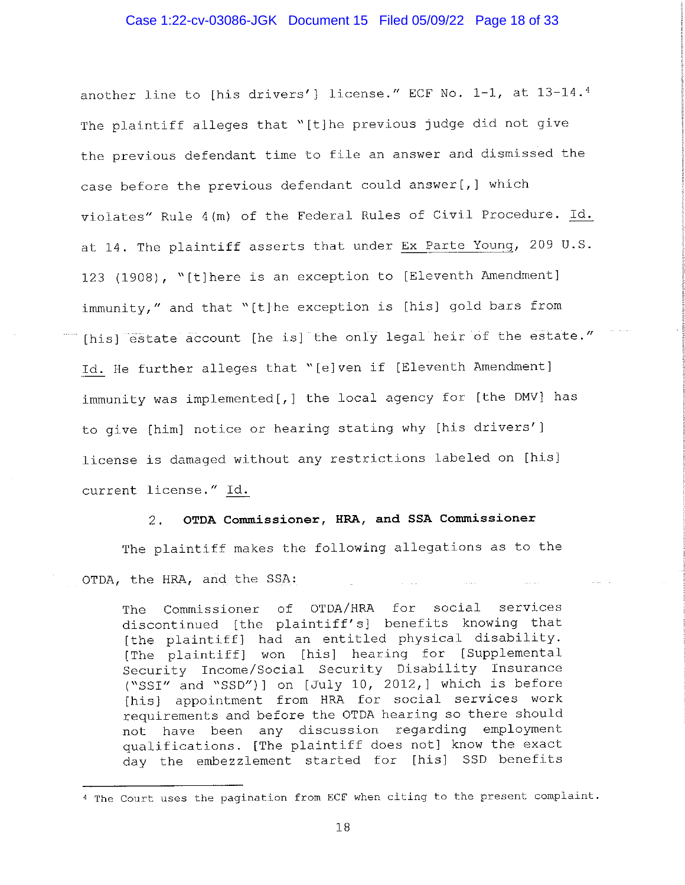### Case 1:22-cv-03086-JGK Document 15 Filed 05/09/22 Page 18 of 33

another line to [his drivers'] license." ECF No. 1-1, at 13-14.4 The plaintiff alleges that "[t]he previous judge did not give the previous defendant time to file an answer and dismissed the case before the previous defendant could answer [, ] which violates" Rule 4(m) of the Federal Rules of Civil Procedure. Id. at 14. The plaintiff asserts that under Ex Parte Young, 209 U.S. 123 (1908), "[t]here is an exception to [Eleventh Amendment] immunity," and that "[t]he exception is [his] gold bars from [his] estate account [he is] the only legal heir of the estate." Id. He further alleges that "[e]ven if [Eleventh Amendment] immunity was implemented[,] the local agency for [the DMV] has to give [him] notice or hearing stating why [his drivers'] license is damaged without any restrictions labeled on [his] current license." Id.

#### OTDA Commissioner, HRA, and SSA Commissioner  $2.$

The plaintiff makes the following allegations as to the OTDA, the HRA, and the SSA:

Commissioner of OTDA/HRA for social services The discontinued [the plaintiff's] benefits knowing that [the plaintiff] had an entitled physical disability. [The plaintiff] won [his] hearing for [Supplemental Security Income/Social Security Disability Insurance ("SSI" and "SSD")] on [July 10, 2012,] which is before [his] appointment from HRA for social services work requirements and before the OTDA hearing so there should not have been any discussion regarding employment qualifications. [The plaintiff does not] know the exact day the embezzlement started for [his] SSD benefits

<sup>4</sup> The Court uses the pagination from ECF when citing to the present complaint.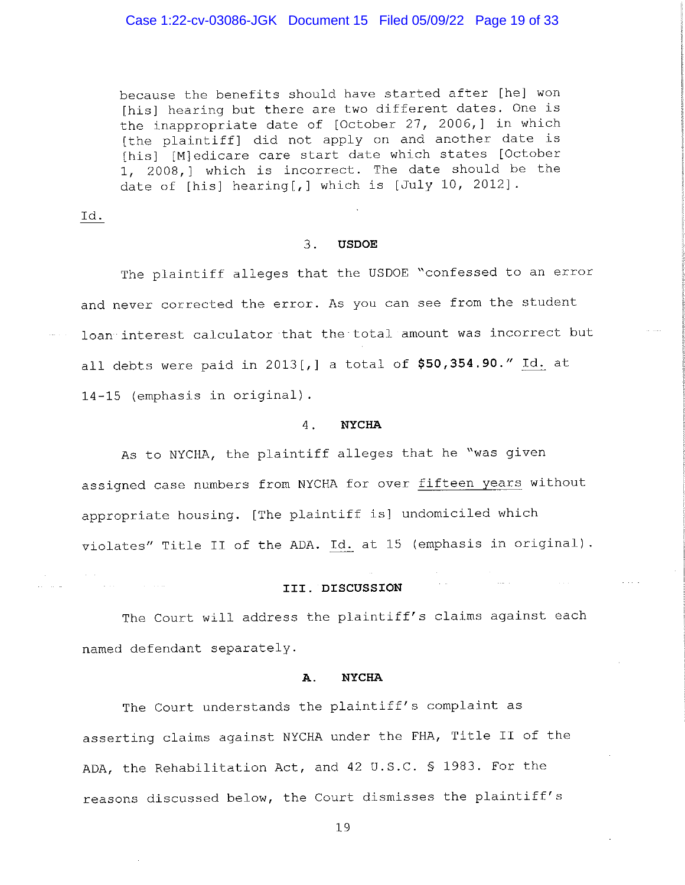### Case 1:22-cv-03086-JGK Document 15 Filed 05/09/22 Page 19 of 33

because the benefits should have started after [he] won [his] hearing but there are two different dates. One is the inappropriate date of [October 27, 2006,] in which [the plaintiff] did not apply on and another date is [his] [M]edicare care start date which states [October 1, 2008,] which is incorrect. The date should be the date of [his] hearing[,] which is [July 10, 2012].

Id.

 $\sim 10^{-1}$ 

**Contractor** 

#### $3.$ **USDOE**

The plaintiff alleges that the USDOE "confessed to an error and never corrected the error. As you can see from the student loan interest calculator that the total amount was incorrect but all debts were paid in 2013[,] a total of \$50,354.90." Id. at 14-15 (emphasis in original).

#### $4 -$ **NYCHA**

As to NYCHA, the plaintiff alleges that he "was given assigned case numbers from NYCHA for over fifteen years without appropriate housing. [The plaintiff is] undomiciled which violates" Title II of the ADA. Id. at 15 (emphasis in original).

### III. DISCUSSION

The Court will address the plaintiff's claims against each named defendant separately.

#### **NYCHA** Α.

The Court understands the plaintiff's complaint as asserting claims against NYCHA under the FHA, Title II of the ADA, the Rehabilitation Act, and 42 U.S.C. § 1983. For the reasons discussed below, the Court dismisses the plaintiff's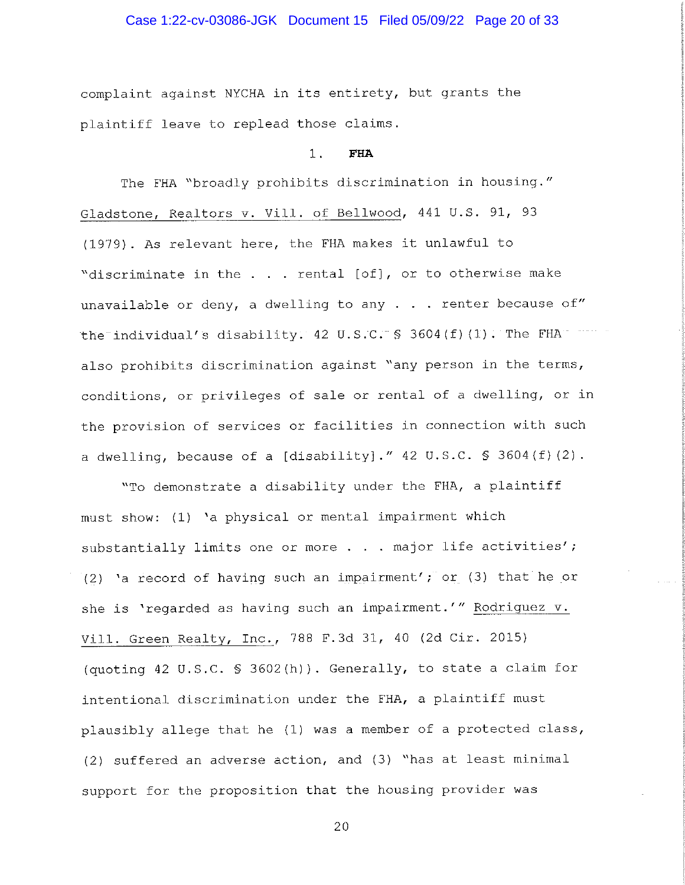## Case 1:22-cv-03086-JGK Document 15 Filed 05/09/22 Page 20 of 33

complaint against NYCHA in its entirety, but grants the plaintiff leave to replead those claims.

#### $1.$ **FHA**

The FHA "broadly prohibits discrimination in housing." Gladstone, Realtors v. Vill. of Bellwood, 441 U.S. 91, 93 (1979). As relevant here, the FHA makes it unlawful to "discriminate in the . . . rental [of], or to otherwise make unavailable or deny, a dwelling to any  $\ldots$  renter because of" the individual's disability. 42 U.S.C.  $\frac{1}{5}$  3604(f)(1). The FHA was also prohibits discrimination against "any person in the terms, conditions, or privileges of sale or rental of a dwelling, or in the provision of services or facilities in connection with such a dwelling, because of a [disability]."  $42 \text{ U.S.C. }$  \$ 3604(f)(2).

"To demonstrate a disability under the FHA, a plaintiff must show: (1) 'a physical or mental impairment which substantially limits one or more . . . major life activities'; (2) 'a record of having such an impairment'; or (3) that he or she is 'regarded as having such an impairment.'" Rodriguez v. Vill. Green Realty, Inc., 788 F.3d 31, 40 (2d Cir. 2015) (quoting 42 U.S.C. § 3602(h)). Generally, to state a claim for intentional discrimination under the FHA, a plaintiff must plausibly allege that he (1) was a member of a protected class, (2) suffered an adverse action, and (3) "has at least minimal support for the proposition that the housing provider was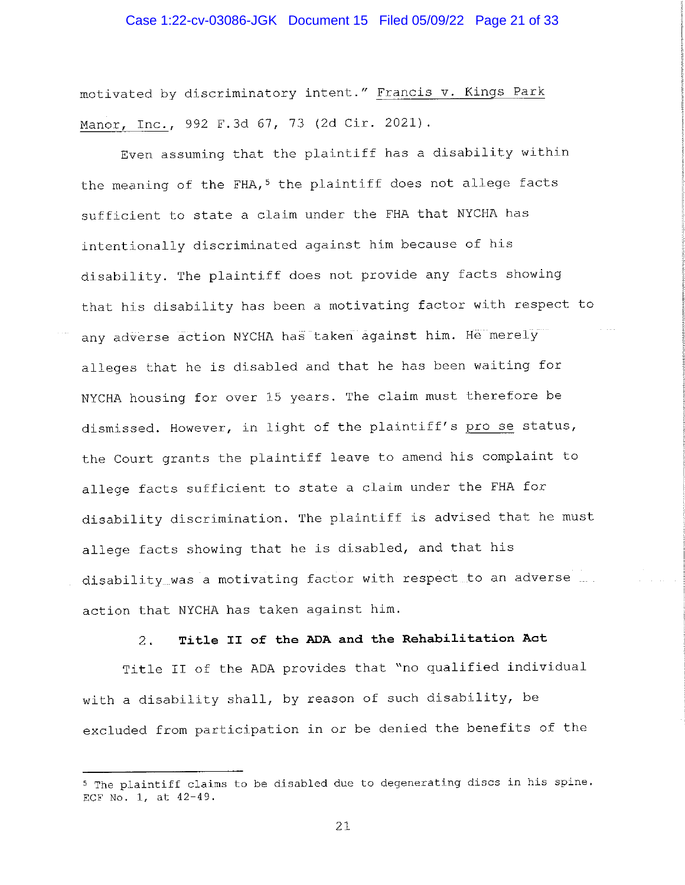### Case 1:22-cv-03086-JGK Document 15 Filed 05/09/22 Page 21 of 33

motivated by discriminatory intent." Francis v. Kings Park Manor, Inc., 992 F.3d 67, 73 (2d Cir. 2021).

Even assuming that the plaintiff has a disability within the meaning of the FHA,<sup>5</sup> the plaintiff does not allege facts sufficient to state a claim under the FHA that NYCHA has intentionally discriminated against him because of his disability. The plaintiff does not provide any facts showing that his disability has been a motivating factor with respect to any adverse action NYCHA has taken against him. He merely alleges that he is disabled and that he has been waiting for NYCHA housing for over 15 years. The claim must therefore be dismissed. However, in light of the plaintiff's pro se status, the Court grants the plaintiff leave to amend his complaint to allege facts sufficient to state a claim under the FHA for disability discrimination. The plaintiff is advised that he must allege facts showing that he is disabled, and that his disability was a motivating factor with respect to an adverse action that NYCHA has taken against him.

#### Title II of the ADA and the Rehabilitation Act  $2 -$

Title II of the ADA provides that "no qualified individual with a disability shall, by reason of such disability, be excluded from participation in or be denied the benefits of the

<sup>&</sup>lt;sup>5</sup> The plaintiff claims to be disabled due to degenerating discs in his spine. ECF No. 1, at 42-49.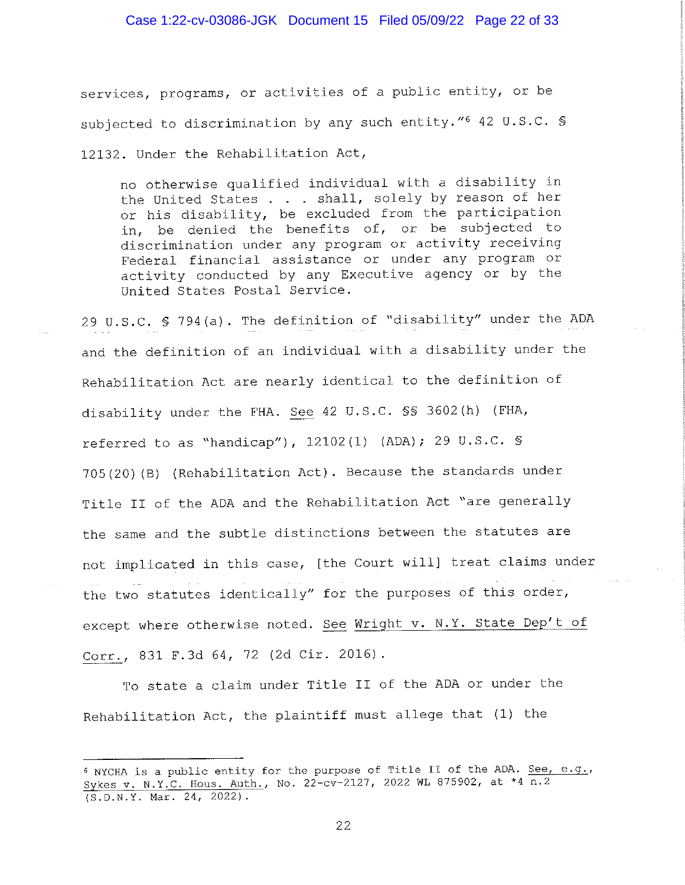## Case 1:22-cv-03086-JGK Document 15 Filed 05/09/22 Page 22 of 33

services, programs, or activities of a public entity, or be subjected to discrimination by any such entity."6 42 U.S.C. \$ 12132. Under the Rehabilitation Act,

no otherwise qualified individual with a disability in the United States . . . shall, solely by reason of her or his disability, be excluded from the participation in, be denied the benefits of, or be subjected to discrimination under any program or activity receiving Federal financial assistance or under any program or activity conducted by any Executive agency or by the United States Postal Service.

29 U.S.C. § 794(a). The definition of "disability" under the ADA and the definition of an individual with a disability under the Rehabilitation Act are nearly identical to the definition of disability under the FHA. See 42 U.S.C. SS 3602(h) (FHA, referred to as "handicap"), 12102(1) (ADA); 29 U.S.C. § 705(20) (B) (Rehabilitation Act). Because the standards under Title II of the ADA and the Rehabilitation Act "are generally the same and the subtle distinctions between the statutes are not implicated in this case, [the Court will] treat claims under the two statutes identically" for the purposes of this order, except where otherwise noted. See Wright v. N.Y. State Dep't of Corr., 831 F.3d 64, 72 (2d Cir. 2016).

To state a claim under Title II of the ADA or under the Rehabilitation Act, the plaintiff must allege that (1) the

<sup>6</sup> NYCHA is a public entity for the purpose of Title II of the ADA. See, e.g., Sykes v. N.Y.C. Hous. Auth., No. 22-cv-2127, 2022 WL 875902, at \*4 n.2  $(S.D.N.Y. Mar. 24, 2022).$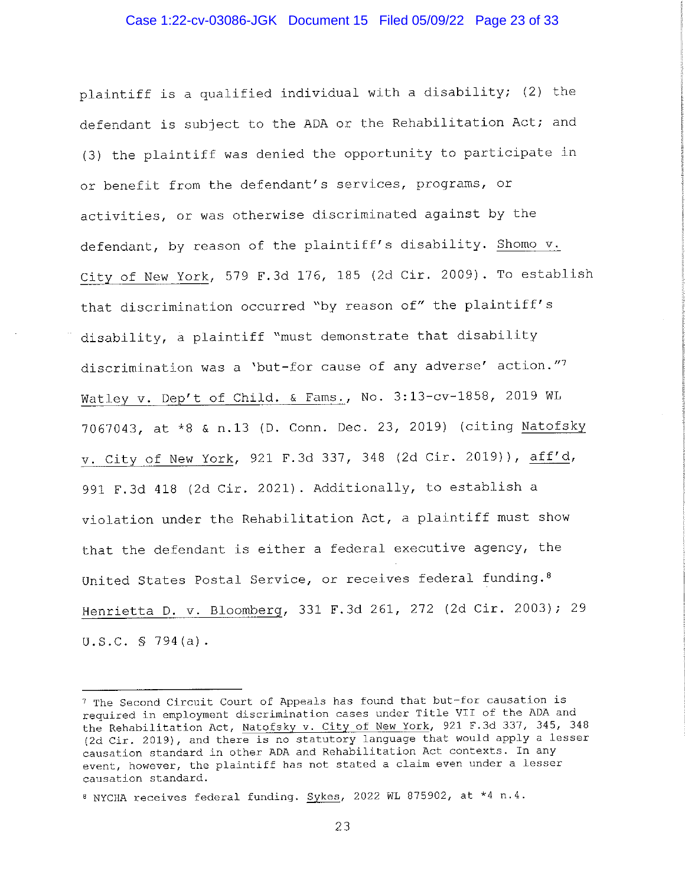plaintiff is a qualified individual with a disability; (2) the defendant is subject to the ADA or the Rehabilitation Act; and (3) the plaintiff was denied the opportunity to participate in or benefit from the defendant's services, programs, or activities, or was otherwise discriminated against by the defendant, by reason of the plaintiff's disability. Shomo v. City of New York, 579 F.3d 176, 185 (2d Cir. 2009). To establish that discrimination occurred "by reason of" the plaintiff's disability, a plaintiff "must demonstrate that disability discrimination was a 'but-for cause of any adverse' action."7 Watley v. Dep't of Child. & Fams., No. 3:13-cv-1858, 2019 WL 7067043, at \*8 & n.13 (D. Conn. Dec. 23, 2019) (citing Natofsky v. City of New York, 921 F.3d 337, 348 (2d Cir. 2019)), aff'd, 991 F.3d 418 (2d Cir. 2021). Additionally, to establish a violation under the Rehabilitation Act, a plaintiff must show that the defendant is either a federal executive agency, the United States Postal Service, or receives federal funding.<sup>8</sup> Henrietta D. v. Bloomberg, 331 F.3d 261, 272 (2d Cir. 2003); 29  $U.S.C. S 794(a)$ .

<sup>7</sup> The Second Circuit Court of Appeals has found that but-for causation is required in employment discrimination cases under Title VII of the ADA and the Rehabilitation Act, Natofsky v. City of New York, 921 F.3d 337, 345, 348 (2d Cir. 2019), and there is no statutory language that would apply a lesser causation standard in other ADA and Rehabilitation Act contexts. In any event, however, the plaintiff has not stated a claim even under a lesser causation standard.

<sup>8</sup> NYCHA receives federal funding. Sykes, 2022 WL 875902, at \*4 n.4.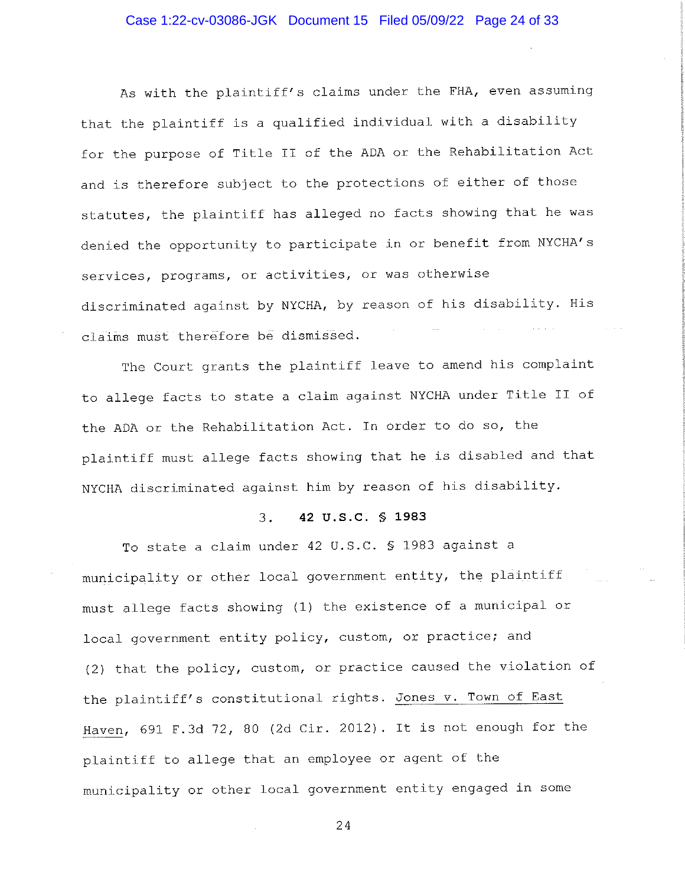### Case 1:22-cv-03086-JGK Document 15 Filed 05/09/22 Page 24 of 33

As with the plaintiff's claims under the FHA, even assuming that the plaintiff is a qualified individual with a disability for the purpose of Title II of the ADA or the Rehabilitation Act and is therefore subject to the protections of either of those statutes, the plaintiff has alleged no facts showing that he was denied the opportunity to participate in or benefit from NYCHA's services, programs, or activities, or was otherwise discriminated against by NYCHA, by reason of his disability. His claims must therefore be dismissed.

The Court grants the plaintiff leave to amend his complaint to allege facts to state a claim against NYCHA under Title II of the ADA or the Rehabilitation Act. In order to do so, the plaintiff must allege facts showing that he is disabled and that NYCHA discriminated against him by reason of his disability.

#### $\overline{3}$ . 42 U.S.C. § 1983

To state a claim under 42 U.S.C. § 1983 against a municipality or other local government entity, the plaintiff must allege facts showing (1) the existence of a municipal or local government entity policy, custom, or practice; and (2) that the policy, custom, or practice caused the violation of the plaintiff's constitutional rights. Jones v. Town of East Haven, 691 F.3d 72, 80 (2d Cir. 2012). It is not enough for the plaintiff to allege that an employee or agent of the municipality or other local government entity engaged in some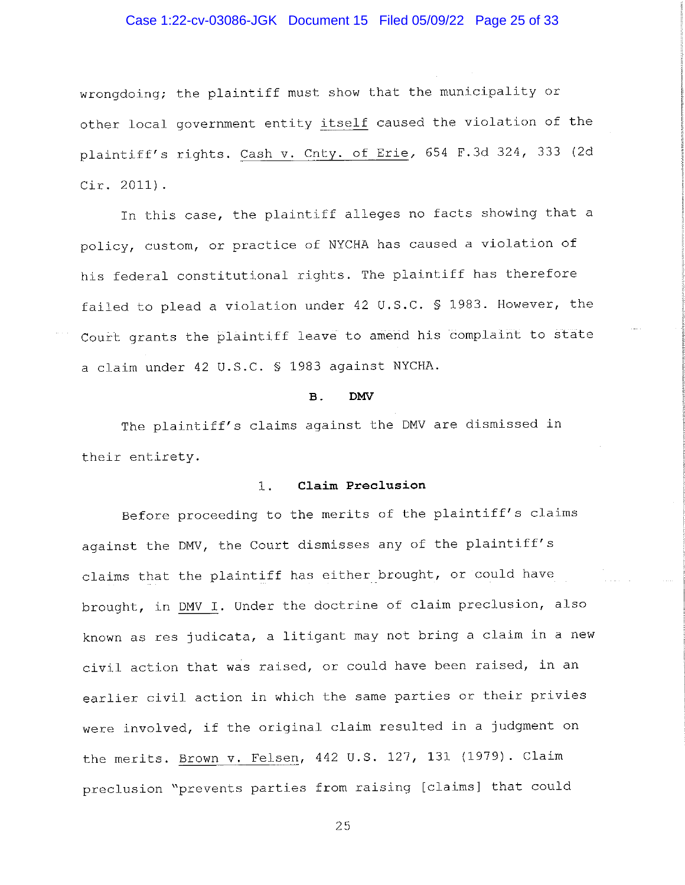## Case 1:22-cv-03086-JGK Document 15 Filed 05/09/22 Page 25 of 33

wrongdoing; the plaintiff must show that the municipality or other local government entity itself caused the violation of the plaintiff's rights. Cash v. Cnty. of Erie, 654 F.3d 324, 333 (2d  $Cir. 2011$ .

In this case, the plaintiff alleges no facts showing that a policy, custom, or practice of NYCHA has caused a violation of his federal constitutional rights. The plaintiff has therefore failed to plead a violation under 42 U.S.C. § 1983. However, the Court grants the plaintiff leave to amend his complaint to state a claim under 42 U.S.C. § 1983 against NYCHA.

#### $\mathbf{B}$ . **DMV**

The plaintiff's claims against the DMV are dismissed in their entirety.

#### $1<sup>1</sup>$ Claim Preclusion

Before proceeding to the merits of the plaintiff's claims against the DMV, the Court dismisses any of the plaintiff's claims that the plaintiff has either brought, or could have brought, in DMV I. Under the doctrine of claim preclusion, also known as res judicata, a litigant may not bring a claim in a new civil action that was raised, or could have been raised, in an earlier civil action in which the same parties or their privies were involved, if the original claim resulted in a judgment on the merits. Brown v. Felsen, 442 U.S. 127, 131 (1979). Claim preclusion "prevents parties from raising [claims] that could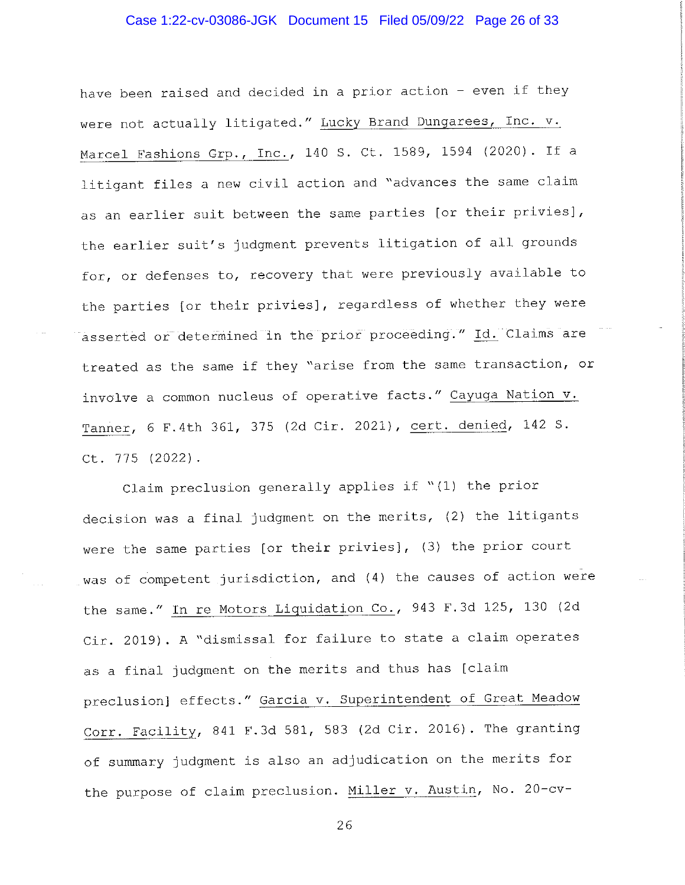## Case 1:22-cv-03086-JGK Document 15 Filed 05/09/22 Page 26 of 33

have been raised and decided in a prior action - even if they were not actually litigated." Lucky Brand Dungarees, Inc. v. Marcel Fashions Grp., Inc., 140 S. Ct. 1589, 1594 (2020). If a litigant files a new civil action and "advances the same claim as an earlier suit between the same parties [or their privies], the earlier suit's judgment prevents litigation of all grounds for, or defenses to, recovery that were previously available to the parties [or their privies], regardless of whether they were asserted or determined in the prior proceeding." Id. Claims are treated as the same if they "arise from the same transaction, or involve a common nucleus of operative facts." Cayuga Nation v. Tanner, 6 F.4th 361, 375 (2d Cir. 2021), cert. denied, 142 S. Ct. 775 (2022).

Claim preclusion generally applies if "(1) the prior decision was a final judgment on the merits, (2) the litigants were the same parties [or their privies], (3) the prior court was of competent jurisdiction, and (4) the causes of action were the same." In re Motors Liquidation Co., 943 F.3d 125, 130 (2d Cir. 2019). A "dismissal for failure to state a claim operates as a final judgment on the merits and thus has [claim preclusion] effects." Garcia v. Superintendent of Great Meadow Corr. Facility, 841 F.3d 581, 583 (2d Cir. 2016). The granting of summary judgment is also an adjudication on the merits for the purpose of claim preclusion. Miller v. Austin, No. 20-cv-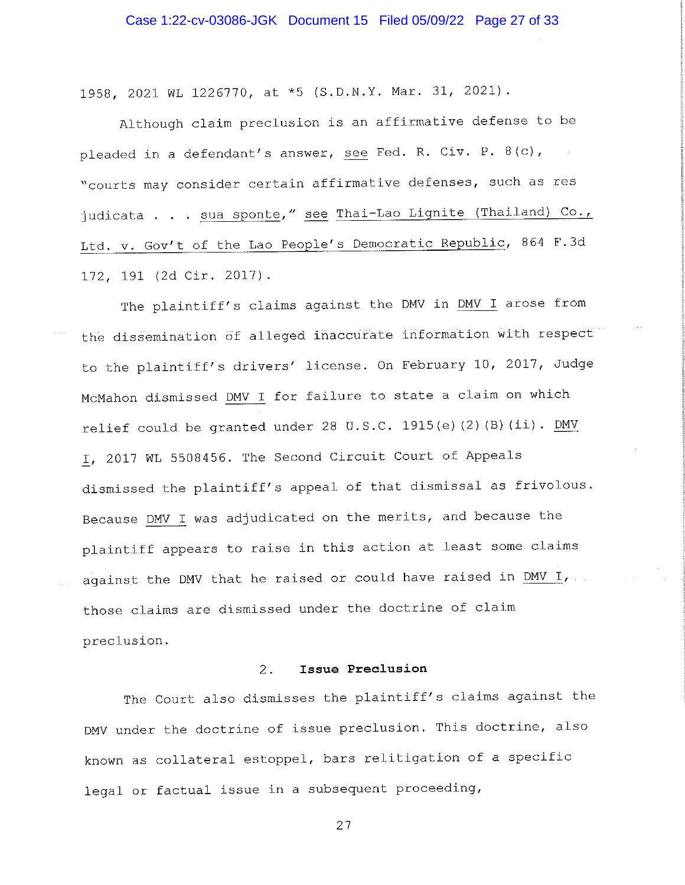1958, 2021 WL 1226770, at \*5 (S.D.N.Y. Mar. 31, 2021).

Although claim preclusion is an affirmative defense to be pleaded in a defendant's answer, see Fed. R. Civ. P. 8(c), "courts may consider certain affirmative defenses, such as res judicata . . . sua sponte," see Thai-Lao Lignite (Thailand) Co., Ltd. v. Gov't of the Lao People's Democratic Republic, 864 F.3d 172, 191 (2d Cir. 2017).

The plaintiff's claims against the DMV in DMV I arose from the dissemination of alleged inaccurate information with respect to the plaintiff's drivers' license. On February 10, 2017, Judge McMahon dismissed DMV I for failure to state a claim on which relief could be granted under 28 U.S.C. 1915(e)(2)(B)(ii). DMV I, 2017 WL 5508456. The Second Circuit Court of Appeals dismissed the plaintiff's appeal of that dismissal as frivolous. Because DMV I was adjudicated on the merits, and because the plaintiff appears to raise in this action at least some claims against the DMV that he raised or could have raised in DMV I, those claims are dismissed under the doctrine of claim preclusion.

#### Issue Preclusion  $2.$

The Court also dismisses the plaintiff's claims against the DMV under the doctrine of issue preclusion. This doctrine, also known as collateral estoppel, bars relitigation of a specific legal or factual issue in a subsequent proceeding,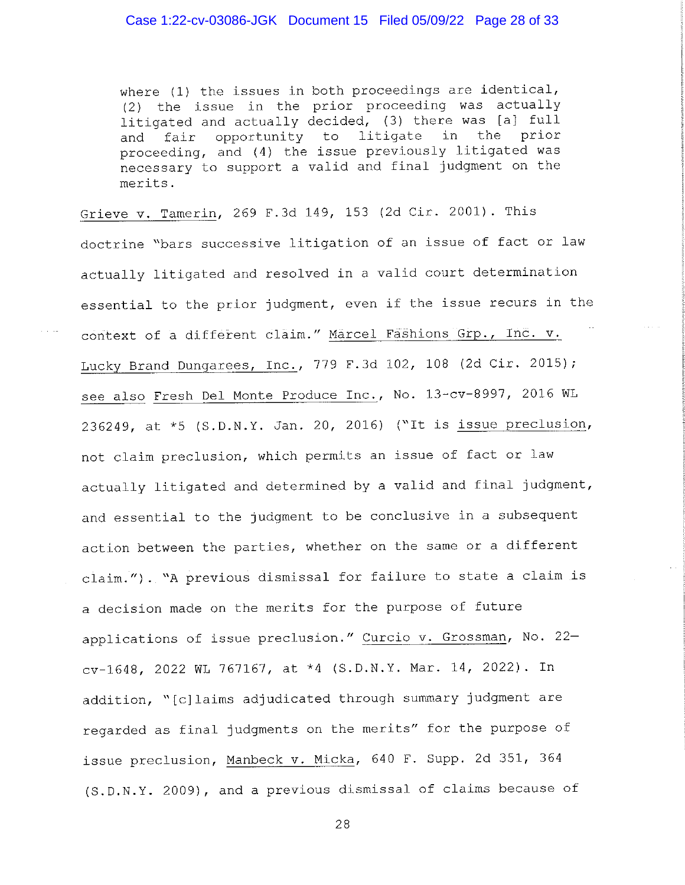where (1) the issues in both proceedings are identical, (2) the issue in the prior proceeding was actually litigated and actually decided, (3) there was [a] full fair opportunity to litigate in the prior and proceeding, and (4) the issue previously litigated was necessary to support a valid and final judgment on the merits.

Grieve v. Tamerin, 269 F.3d 149, 153 (2d Cir. 2001). This doctrine "bars successive litigation of an issue of fact or law actually litigated and resolved in a valid court determination essential to the prior judgment, even if the issue recurs in the context of a different claim." Marcel Fashions Grp., Inc. v. Lucky Brand Dungarees, Inc., 779 F.3d 102, 108 (2d Cir. 2015); see also Fresh Del Monte Produce Inc., No. 13-cv-8997, 2016 WL 236249, at \*5 (S.D.N.Y. Jan. 20, 2016) ("It is issue preclusion, not claim preclusion, which permits an issue of fact or law actually litigated and determined by a valid and final judgment, and essential to the judgment to be conclusive in a subsequent action between the parties, whether on the same or a different claim."). "A previous dismissal for failure to state a claim is a decision made on the merits for the purpose of future applications of issue preclusion." Curcio v. Grossman, No. 22cv-1648, 2022 WL 767167, at \*4 (S.D.N.Y. Mar. 14, 2022). In addition, "[c]laims adjudicated through summary judgment are regarded as final judgments on the merits" for the purpose of issue preclusion, Manbeck v. Micka, 640 F. Supp. 2d 351, 364 (S.D.N.Y. 2009), and a previous dismissal of claims because of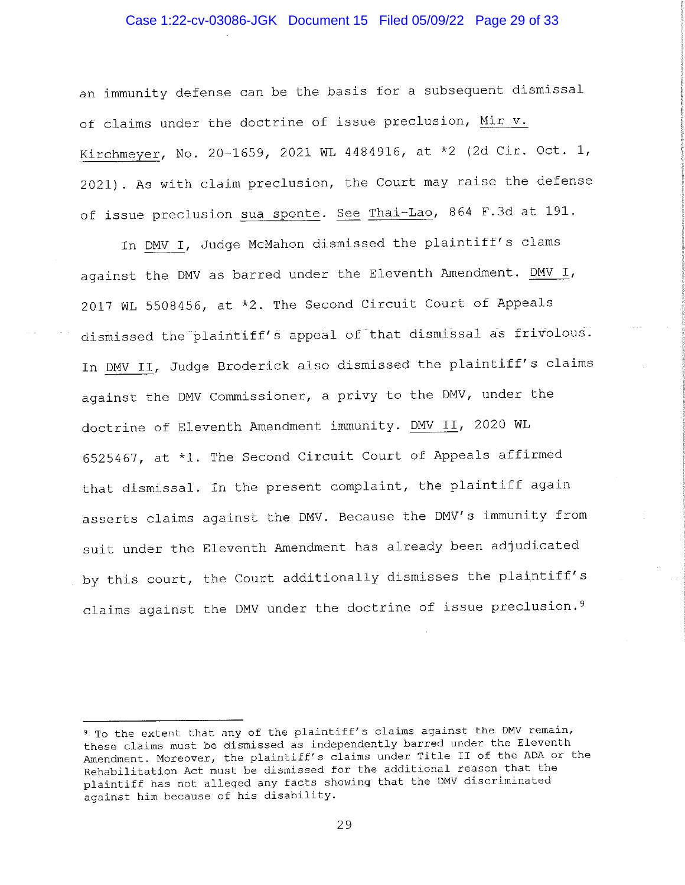## Case 1:22-cv-03086-JGK Document 15 Filed 05/09/22 Page 29 of 33

an immunity defense can be the basis for a subsequent dismissal of claims under the doctrine of issue preclusion, Mir v. Kirchmeyer, No. 20-1659, 2021 WL 4484916, at \*2 (2d Cir. Oct. 1, 2021). As with claim preclusion, the Court may raise the defense of issue preclusion sua sponte. See Thai-Lao, 864 F.3d at 191.

In DMV I, Judge McMahon dismissed the plaintiff's clams against the DMV as barred under the Eleventh Amendment. DMV I, 2017 WL 5508456, at \*2. The Second Circuit Court of Appeals dismissed the plaintiff's appeal of that dismissal as frivolous. In DMV II, Judge Broderick also dismissed the plaintiff's claims against the DMV Commissioner, a privy to the DMV, under the doctrine of Eleventh Amendment immunity. DMV II, 2020 WL 6525467, at \*1. The Second Circuit Court of Appeals affirmed that dismissal. In the present complaint, the plaintiff again asserts claims against the DMV. Because the DMV's immunity from suit under the Eleventh Amendment has already been adjudicated by this court, the Court additionally dismisses the plaintiff's claims against the DMV under the doctrine of issue preclusion.<sup>9</sup>

<sup>&</sup>lt;sup>9</sup> To the extent that any of the plaintiff's claims against the DMV remain, these claims must be dismissed as independently barred under the Eleventh Amendment. Moreover, the plaintiff's claims under Title II of the ADA or the Rehabilitation Act must be dismissed for the additional reason that the plaintiff has not alleged any facts showing that the DMV discriminated against him because of his disability.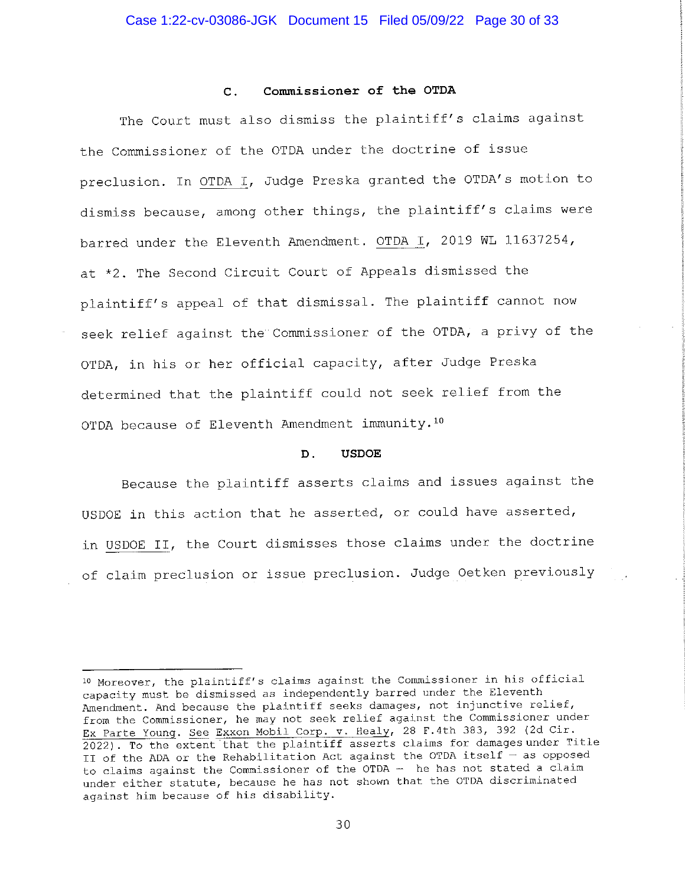#### Commissioner of the OTDA  $\mathbf{C}$ .

The Court must also dismiss the plaintiff's claims against the Commissioner of the OTDA under the doctrine of issue preclusion. In OTDA I, Judge Preska granted the OTDA's motion to dismiss because, among other things, the plaintiff's claims were barred under the Eleventh Amendment. OTDA I, 2019 WL 11637254, at \*2. The Second Circuit Court of Appeals dismissed the plaintiff's appeal of that dismissal. The plaintiff cannot now seek relief against the Commissioner of the OTDA, a privy of the OTDA, in his or her official capacity, after Judge Preska determined that the plaintiff could not seek relief from the OTDA because of Eleventh Amendment immunity.<sup>10</sup>

#### D. **USDOE**

Because the plaintiff asserts claims and issues against the USDOE in this action that he asserted, or could have asserted, in USDOE II, the Court dismisses those claims under the doctrine of claim preclusion or issue preclusion. Judge Oetken previously

<sup>10</sup> Moreover, the plaintiff's claims against the Commissioner in his official capacity must be dismissed as independently barred under the Eleventh Amendment. And because the plaintiff seeks damages, not injunctive relief, from the Commissioner, he may not seek relief against the Commissioner under Ex Parte Young. See Exxon Mobil Corp. v. Healy, 28 F.4th 383, 392 (2d Cir. 2022). To the extent that the plaintiff asserts claims for damages under Title II of the ADA or the Rehabilitation Act against the OTDA itself - as opposed to claims against the Commissioner of the OTDA - he has not stated a claim under either statute, because he has not shown that the OTDA discriminated against him because of his disability.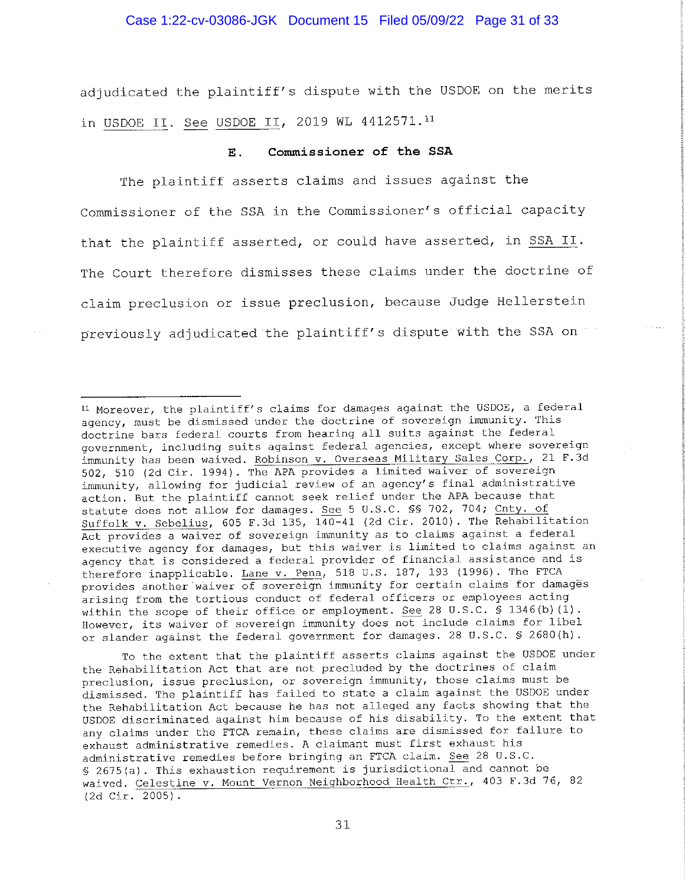### Case 1:22-cv-03086-JGK Document 15 Filed 05/09/22 Page 31 of 33

adjudicated the plaintiff's dispute with the USDOE on the merits in USDOE II. See USDOE II, 2019 WL 4412571.11

#### Commissioner of the SSA Ε.

The plaintiff asserts claims and issues against the Commissioner of the SSA in the Commissioner's official capacity that the plaintiff asserted, or could have asserted, in SSA II. The Court therefore dismisses these claims under the doctrine of claim preclusion or issue preclusion, because Judge Hellerstein previously adjudicated the plaintiff's dispute with the SSA on

To the extent that the plaintiff asserts claims against the USDOE under the Rehabilitation Act that are not precluded by the doctrines of claim preclusion, issue preclusion, or sovereign immunity, those claims must be dismissed. The plaintiff has failed to state a claim against the USDOE under the Rehabilitation Act because he has not alleged any facts showing that the USDOE discriminated against him because of his disability. To the extent that any claims under the FTCA remain, these claims are dismissed for failure to exhaust administrative remedies. A claimant must first exhaust his administrative remedies before bringing an FTCA claim. See 28 U.S.C. § 2675(a). This exhaustion requirement is jurisdictional and cannot be waived. Celestine v. Mount Vernon Neighborhood Health Ctr., 403 F.3d 76, 82  $(2d$  Cir. 2005).

<sup>&</sup>lt;sup>11</sup> Moreover, the plaintiff's claims for damages against the USDOE, a federal agency, must be dismissed under the doctrine of sovereign immunity. This doctrine bars federal courts from hearing all suits against the federal government, including suits against federal agencies, except where sovereign immunity has been waived. Robinson v. Overseas Military Sales Corp., 21 F.3d 502, 510 (2d Cir. 1994). The APA provides a limited waiver of sovereign immunity, allowing for judicial review of an agency's final administrative action. But the plaintiff cannot seek relief under the APA because that statute does not allow for damages. See 5 U.S.C. \$\$ 702, 704; Cnty. of Suffolk v. Sebelius, 605 F.3d 135, 140-41 (2d Cir. 2010). The Rehabilitation Act provides a waiver of sovereign immunity as to claims against a federal executive agency for damages, but this waiver is limited to claims against an agency that is considered a federal provider of financial assistance and is therefore inapplicable. Lane v. Pena, 518 U.S. 187, 193 (1996). The FTCA<br>provides another waiver of sovereign immunity for certain claims for damages arising from the tortious conduct of federal officers or employees acting within the scope of their office or employment. See 28 U.S.C. § 1346(b) (1). However, its waiver of sovereign immunity does not include claims for libel or slander against the federal government for damages. 28 U.S.C. \$ 2680(h).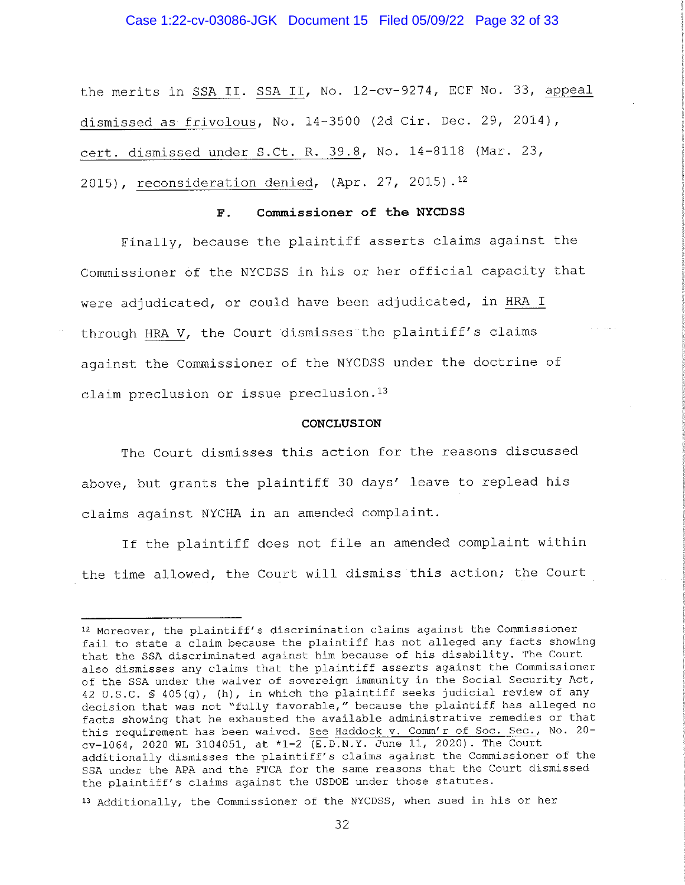### Case 1:22-cv-03086-JGK Document 15 Filed 05/09/22 Page 32 of 33

the merits in SSA II. SSA II, No. 12-cv-9274, ECF No. 33, appeal dismissed as frivolous, No. 14-3500 (2d Cir. Dec. 29, 2014), cert. dismissed under S.Ct. R. 39.8, No. 14-8118 (Mar. 23, 2015), reconsideration denied, (Apr. 27, 2015).<sup>12</sup>

#### Commissioner of the NYCDSS  $\mathbf{F}$ .

Finally, because the plaintiff asserts claims against the Commissioner of the NYCDSS in his or her official capacity that were adjudicated, or could have been adjudicated, in HRA I through HRA V, the Court dismisses the plaintiff's claims against the Commissioner of the NYCDSS under the doctrine of claim preclusion or issue preclusion.<sup>13</sup>

### CONCLUSION

The Court dismisses this action for the reasons discussed above, but grants the plaintiff 30 days' leave to replead his claims against NYCHA in an amended complaint.

If the plaintiff does not file an amended complaint within the time allowed, the Court will dismiss this action; the Court

<sup>&</sup>lt;sup>12</sup> Moreover, the plaintiff's discrimination claims against the Commissioner fail to state a claim because the plaintiff has not alleged any facts showing that the SSA discriminated against him because of his disability. The Court also dismisses any claims that the plaintiff asserts against the Commissioner of the SSA under the waiver of sovereign immunity in the Social Security Act, 42 U.S.C. § 405(g), (h), in which the plaintiff seeks judicial review of any decision that was not "fully favorable," because the plaintiff has alleged no facts showing that he exhausted the available administrative remedies or that this requirement has been waived. See Haddock v. Comm'r of Soc. Sec., No. 20cv-1064, 2020 WL 3104051, at \*1-2 (E.D.N.Y. June 11, 2020). The Court additionally dismisses the plaintiff's claims against the Commissioner of the SSA under the APA and the FTCA for the same reasons that the Court dismissed the plaintiff's claims against the USDOE under those statutes.

<sup>&</sup>lt;sup>13</sup> Additionally, the Commissioner of the NYCDSS, when sued in his or her